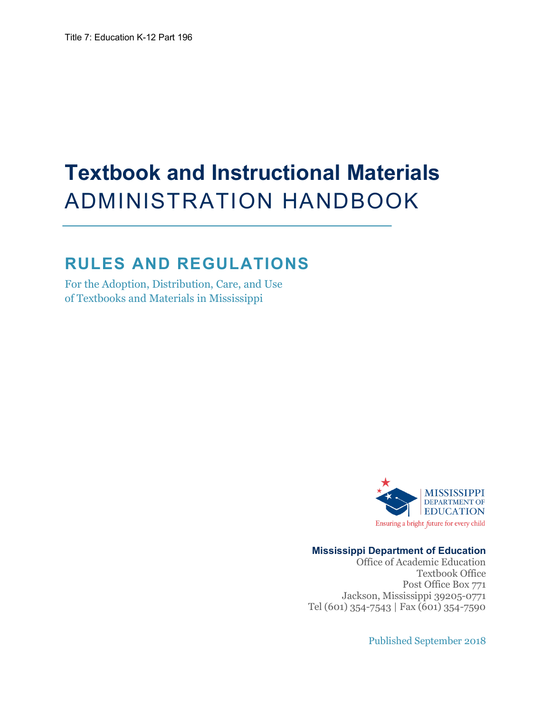# **Textbook and Instructional Materials**  ADMINISTRATION HANDBOOK

# **RULES AND REGULATIONS**

For the Adoption, Distribution, Care, and Use of Textbooks and Materials in Mississippi



## **Mississippi Department of Education**

Office of Academic Education Textbook Office Post Office Box 771 Jackson, Mississippi 39205-0771 Tel (601) 354-7543 | Fax (601) 354-7590

Published September 2018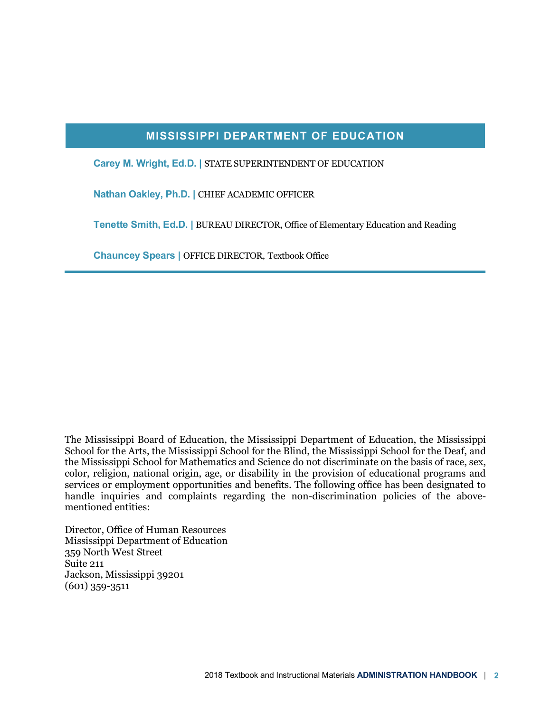# **MISSISSIPPI DEPARTMENT OF EDUCATION**

**Carey M. Wright, Ed.D. |** STATE SUPERINTENDENT OF EDUCATION

**Nathan Oakley, Ph.D. |** CHIEF ACADEMIC OFFICER

**Tenette Smith, Ed.D. |** BUREAU DIRECTOR, Office of Elementary Education and Reading

**Chauncey Spears |** OFFICE DIRECTOR, Textbook Office

The Mississippi Board of Education, the Mississippi Department of Education, the Mississippi School for the Arts, the Mississippi School for the Blind, the Mississippi School for the Deaf, and the Mississippi School for Mathematics and Science do not discriminate on the basis of race, sex, color, religion, national origin, age, or disability in the provision of educational programs and services or employment opportunities and benefits. The following office has been designated to handle inquiries and complaints regarding the non-discrimination policies of the abovementioned entities:

Director, Office of Human Resources Mississippi Department of Education 359 North West Street Suite 211 Jackson, Mississippi 39201 (601) 359-3511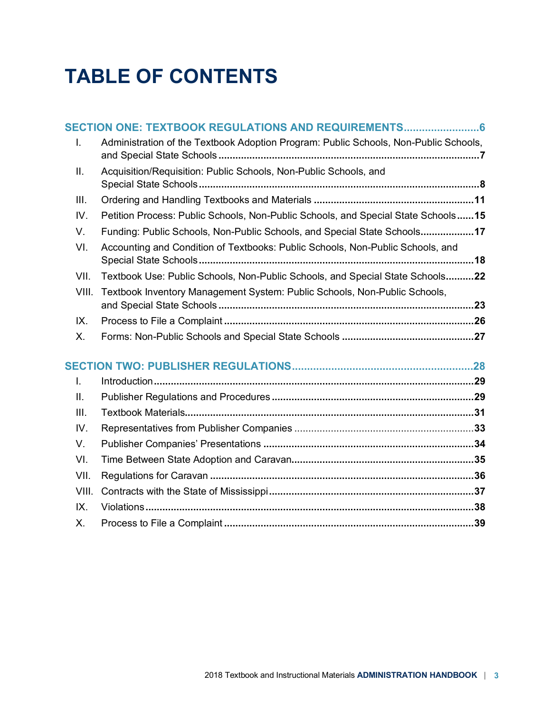# **TABLE OF CONTENTS**

|  |       | SECTION ONE: TEXTBOOK REGULATIONS AND REQUIREMENTS 6                                 |  |
|--|-------|--------------------------------------------------------------------------------------|--|
|  | I.    | Administration of the Textbook Adoption Program: Public Schools, Non-Public Schools, |  |
|  | ΙΙ.   | Acquisition/Requisition: Public Schools, Non-Public Schools, and                     |  |
|  | Ш.    |                                                                                      |  |
|  | IV.   | Petition Process: Public Schools, Non-Public Schools, and Special State Schools15    |  |
|  | V.    | Funding: Public Schools, Non-Public Schools, and Special State Schools17             |  |
|  | VI.   | Accounting and Condition of Textbooks: Public Schools, Non-Public Schools, and       |  |
|  | VII.  | Textbook Use: Public Schools, Non-Public Schools, and Special State Schools22        |  |
|  | VIII. | Textbook Inventory Management System: Public Schools, Non-Public Schools,            |  |
|  | IX.   |                                                                                      |  |
|  | Х.    |                                                                                      |  |
|  |       |                                                                                      |  |
|  | I.    |                                                                                      |  |
|  | ΙΙ.   |                                                                                      |  |
|  | III.  |                                                                                      |  |
|  | IV.   |                                                                                      |  |
|  | V.    |                                                                                      |  |
|  | VI.   |                                                                                      |  |
|  | VII.  |                                                                                      |  |
|  | VIII. |                                                                                      |  |
|  | IX.   |                                                                                      |  |
|  | Х.    |                                                                                      |  |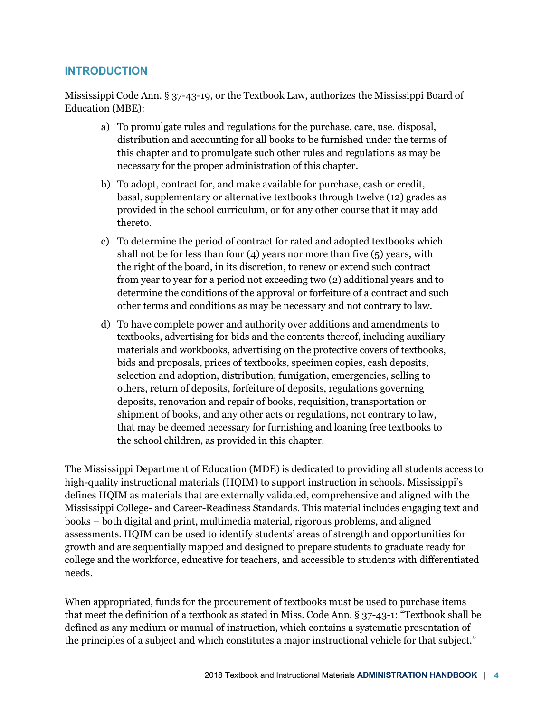# **INTRODUCTION**

Mississippi Code Ann. § 37-43-19, or the Textbook Law, authorizes the Mississippi Board of Education (MBE):

- a) To promulgate rules and regulations for the purchase, care, use, disposal, distribution and accounting for all books to be furnished under the terms of this chapter and to promulgate such other rules and regulations as may be necessary for the proper administration of this chapter.
- b) To adopt, contract for, and make available for purchase, cash or credit, basal, supplementary or alternative textbooks through twelve (12) grades as provided in the school curriculum, or for any other course that it may add thereto.
- c) To determine the period of contract for rated and adopted textbooks which shall not be for less than four  $(4)$  years nor more than five  $(5)$  years, with the right of the board, in its discretion, to renew or extend such contract from year to year for a period not exceeding two (2) additional years and to determine the conditions of the approval or forfeiture of a contract and such other terms and conditions as may be necessary and not contrary to law.
- d) To have complete power and authority over additions and amendments to textbooks, advertising for bids and the contents thereof, including auxiliary materials and workbooks, advertising on the protective covers of textbooks, bids and proposals, prices of textbooks, specimen copies, cash deposits, selection and adoption, distribution, fumigation, emergencies, selling to others, return of deposits, forfeiture of deposits, regulations governing deposits, renovation and repair of books, requisition, transportation or shipment of books, and any other acts or regulations, not contrary to law, that may be deemed necessary for furnishing and loaning free textbooks to the school children, as provided in this chapter.

The Mississippi Department of Education (MDE) is dedicated to providing all students access to high-quality instructional materials (HQIM) to support instruction in schools. Mississippi's defines HQIM as materials that are externally validated, comprehensive and aligned with the Mississippi College- and Career-Readiness Standards. This material includes engaging text and books – both digital and print, multimedia material, rigorous problems, and aligned assessments. HQIM can be used to identify students' areas of strength and opportunities for growth and are sequentially mapped and designed to prepare students to graduate ready for college and the workforce, educative for teachers, and accessible to students with differentiated needs.

When appropriated, funds for the procurement of textbooks must be used to purchase items that meet the definition of a textbook as stated in Miss. Code Ann. § 37-43-1: "Textbook shall be defined as any medium or manual of instruction, which contains a systematic presentation of the principles of a subject and which constitutes a major instructional vehicle for that subject."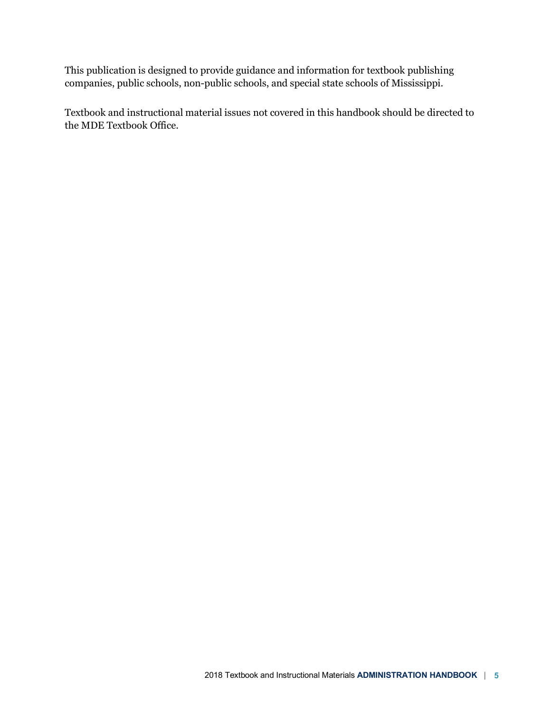This publication is designed to provide guidance and information for textbook publishing companies, public schools, non-public schools, and special state schools of Mississippi.

Textbook and instructional material issues not covered in this handbook should be directed to the MDE Textbook Office.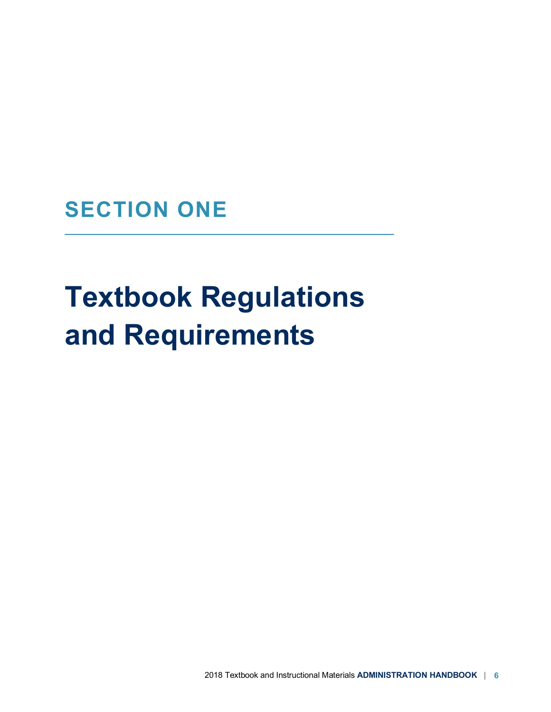**SECTION ONE**

# **Textbook Regulations and Requirements**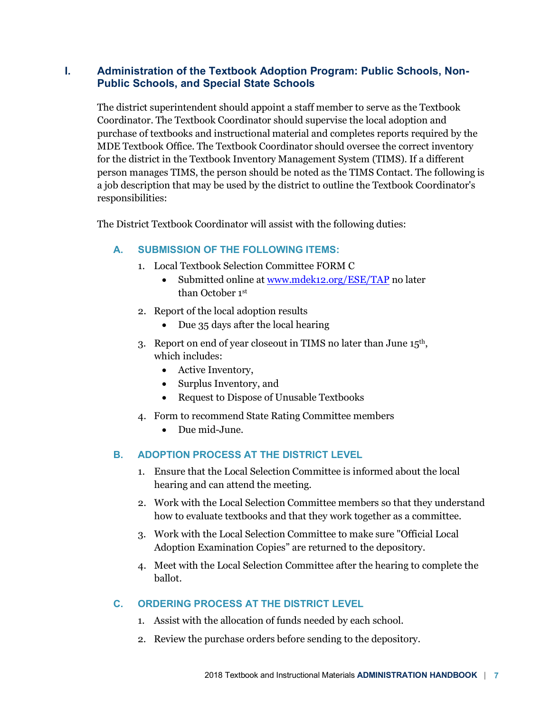# **I. Administration of the Textbook Adoption Program: Public Schools, Non-Public Schools, and Special State Schools**

The district superintendent should appoint a staff member to serve as the Textbook Coordinator. The Textbook Coordinator should supervise the local adoption and purchase of textbooks and instructional material and completes reports required by the MDE Textbook Office. The Textbook Coordinator should oversee the correct inventory for the district in the Textbook Inventory Management System (TIMS). If a different person manages TIMS, the person should be noted as the TIMS Contact. The following is a job description that may be used by the district to outline the Textbook Coordinator's responsibilities:

The District Textbook Coordinator will assist with the following duties:

# **A. SUBMISSION OF THE FOLLOWING ITEMS:**

- 1. Local Textbook Selection Committee FORM C
	- Submitted online at www.mdek12.org/ESE/TAP no later than October 1st
- 2. Report of the local adoption results
	- Due 35 days after the local hearing
- 3. Report on end of year closeout in TIMS no later than June 15th, which includes:
	- Active Inventory,
	- Surplus Inventory, and
	- Request to Dispose of Unusable Textbooks
- 4. Form to recommend State Rating Committee members
	- Due mid-June.

# **B. ADOPTION PROCESS AT THE DISTRICT LEVEL**

- 1. Ensure that the Local Selection Committee is informed about the local hearing and can attend the meeting.
- 2. Work with the Local Selection Committee members so that they understand how to evaluate textbooks and that they work together as a committee.
- 3. Work with the Local Selection Committee to make sure "Official Local Adoption Examination Copies" are returned to the depository.
- 4. Meet with the Local Selection Committee after the hearing to complete the ballot.

# **C. ORDERING PROCESS AT THE DISTRICT LEVEL**

- 1. Assist with the allocation of funds needed by each school.
- 2. Review the purchase orders before sending to the depository.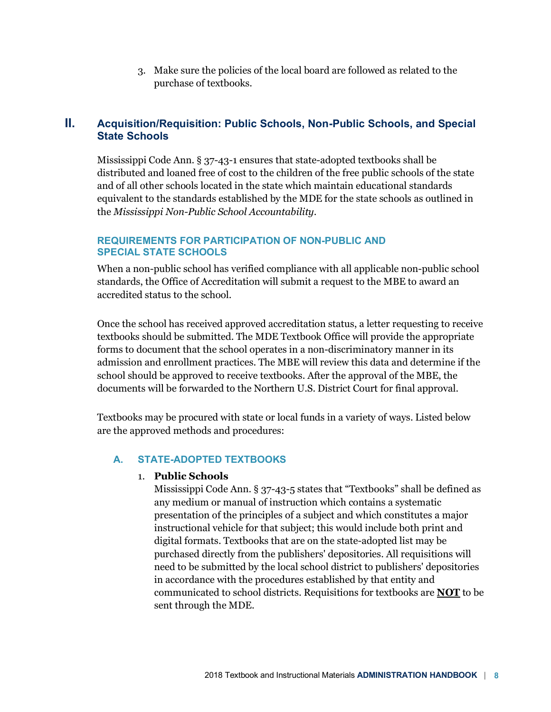3. Make sure the policies of the local board are followed as related to the purchase of textbooks.

# **II. Acquisition/Requisition: Public Schools, Non-Public Schools, and Special State Schools**

Mississippi Code Ann. § 37-43-1 ensures that state-adopted textbooks shall be distributed and loaned free of cost to the children of the free public schools of the state and of all other schools located in the state which maintain educational standards equivalent to the standards established by the MDE for the state schools as outlined in the *Mississippi Non-Public School Accountability*.

# **REQUIREMENTS FOR PARTICIPATION OF NON-PUBLIC AND SPECIAL STATE SCHOOLS**

When a non-public school has verified compliance with all applicable non-public school standards, the Office of Accreditation will submit a request to the MBE to award an accredited status to the school.

Once the school has received approved accreditation status, a letter requesting to receive textbooks should be submitted. The MDE Textbook Office will provide the appropriate forms to document that the school operates in a non-discriminatory manner in its admission and enrollment practices. The MBE will review this data and determine if the school should be approved to receive textbooks. After the approval of the MBE, the documents will be forwarded to the Northern U.S. District Court for final approval.

Textbooks may be procured with state or local funds in a variety of ways. Listed below are the approved methods and procedures:

# **A. STATE-ADOPTED TEXTBOOKS**

# 1. **Public Schools**

Mississippi Code Ann. § 37-43-5 states that "Textbooks" shall be defined as any medium or manual of instruction which contains a systematic presentation of the principles of a subject and which constitutes a major instructional vehicle for that subject; this would include both print and digital formats. Textbooks that are on the state-adopted list may be purchased directly from the publishers' depositories. All requisitions will need to be submitted by the local school district to publishers' depositories in accordance with the procedures established by that entity and communicated to school districts. Requisitions for textbooks are **NOT** to be sent through the MDE.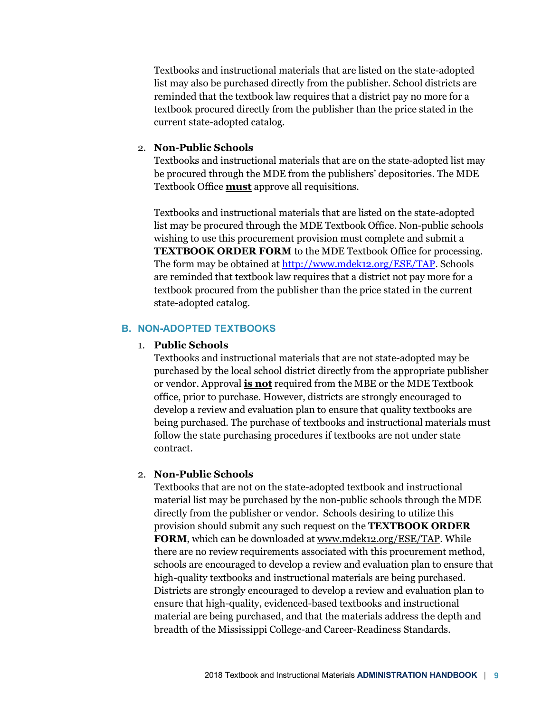Textbooks and instructional materials that are listed on the state-adopted list may also be purchased directly from the publisher. School districts are reminded that the textbook law requires that a district pay no more for a textbook procured directly from the publisher than the price stated in the current state-adopted catalog.

#### 2. **Non-Public Schools**

Textbooks and instructional materials that are on the state-adopted list may be procured through the MDE from the publishers' depositories. The MDE Textbook Office **must** approve all requisitions.

Textbooks and instructional materials that are listed on the state-adopted list may be procured through the MDE Textbook Office. Non-public schools wishing to use this procurement provision must complete and submit a **TEXTBOOK ORDER FORM** to the MDE Textbook Office for processing. The form may be obtained at http://www.mdek12.org/ESE/TAP. Schools are reminded that textbook law requires that a district not pay more for a textbook procured from the publisher than the price stated in the current state-adopted catalog.

#### **B. NON-ADOPTED TEXTBOOKS**

#### 1. **Public Schools**

Textbooks and instructional materials that are not state-adopted may be purchased by the local school district directly from the appropriate publisher or vendor. Approval **is not** required from the MBE or the MDE Textbook office, prior to purchase. However, districts are strongly encouraged to develop a review and evaluation plan to ensure that quality textbooks are being purchased. The purchase of textbooks and instructional materials must follow the state purchasing procedures if textbooks are not under state contract.

#### 2. **Non-Public Schools**

Textbooks that are not on the state-adopted textbook and instructional material list may be purchased by the non-public schools through the MDE directly from the publisher or vendor. Schools desiring to utilize this provision should submit any such request on the **TEXTBOOK ORDER FORM**, which can be downloaded at www.mdek12.org/ESE/TAP. While there are no review requirements associated with this procurement method, schools are encouraged to develop a review and evaluation plan to ensure that high-quality textbooks and instructional materials are being purchased. Districts are strongly encouraged to develop a review and evaluation plan to ensure that high-quality, evidenced-based textbooks and instructional material are being purchased, and that the materials address the depth and breadth of the Mississippi College-and Career-Readiness Standards.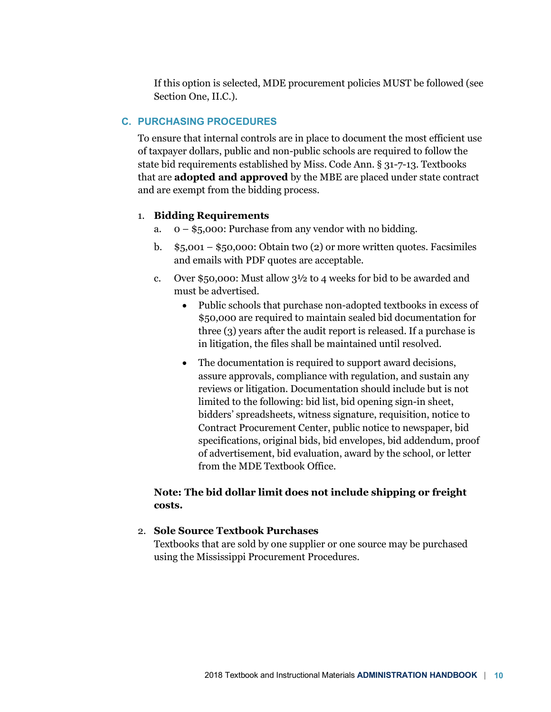If this option is selected, MDE procurement policies MUST be followed (see Section One, II.C.).

#### **C. PURCHASING PROCEDURES**

To ensure that internal controls are in place to document the most efficient use of taxpayer dollars, public and non-public schools are required to follow the state bid requirements established by Miss. Code Ann. § 31-7-13. Textbooks that are **adopted and approved** by the MBE are placed under state contract and are exempt from the bidding process.

#### 1. **Bidding Requirements**

- a. 0 \$5,000: Purchase from any vendor with no bidding.
- b.  $$5,001 $50,000$ : Obtain two (2) or more written quotes. Facsimiles and emails with PDF quotes are acceptable.
- c. Over \$50,000: Must allow  $3\frac{1}{2}$  to 4 weeks for bid to be awarded and must be advertised.
	- Public schools that purchase non-adopted textbooks in excess of \$50,000 are required to maintain sealed bid documentation for three (3) years after the audit report is released. If a purchase is in litigation, the files shall be maintained until resolved.
	- The documentation is required to support award decisions, assure approvals, compliance with regulation, and sustain any reviews or litigation. Documentation should include but is not limited to the following: bid list, bid opening sign-in sheet, bidders' spreadsheets, witness signature, requisition, notice to Contract Procurement Center, public notice to newspaper, bid specifications, original bids, bid envelopes, bid addendum, proof of advertisement, bid evaluation, award by the school, or letter from the MDE Textbook Office.

# **Note: The bid dollar limit does not include shipping or freight costs.**

#### 2. **Sole Source Textbook Purchases**

Textbooks that are sold by one supplier or one source may be purchased using the Mississippi Procurement Procedures.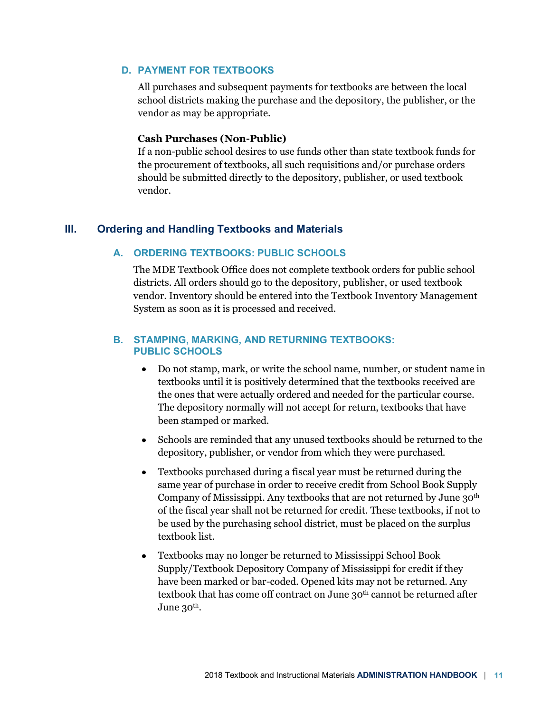#### **D. PAYMENT FOR TEXTBOOKS**

All purchases and subsequent payments for textbooks are between the local school districts making the purchase and the depository, the publisher, or the vendor as may be appropriate.

#### **Cash Purchases (Non-Public)**

If a non-public school desires to use funds other than state textbook funds for the procurement of textbooks, all such requisitions and/or purchase orders should be submitted directly to the depository, publisher, or used textbook vendor.

#### **III. Ordering and Handling Textbooks and Materials**

#### **A. ORDERING TEXTBOOKS: PUBLIC SCHOOLS**

The MDE Textbook Office does not complete textbook orders for public school districts. All orders should go to the depository, publisher, or used textbook vendor. Inventory should be entered into the Textbook Inventory Management System as soon as it is processed and received.

#### **B. STAMPING, MARKING, AND RETURNING TEXTBOOKS: PUBLIC SCHOOLS**

- Do not stamp, mark, or write the school name, number, or student name in textbooks until it is positively determined that the textbooks received are the ones that were actually ordered and needed for the particular course. The depository normally will not accept for return, textbooks that have been stamped or marked.
- Schools are reminded that any unused textbooks should be returned to the depository, publisher, or vendor from which they were purchased.
- Textbooks purchased during a fiscal year must be returned during the same year of purchase in order to receive credit from School Book Supply Company of Mississippi. Any textbooks that are not returned by June 30<sup>th</sup> of the fiscal year shall not be returned for credit. These textbooks, if not to be used by the purchasing school district, must be placed on the surplus textbook list.
- Textbooks may no longer be returned to Mississippi School Book Supply/Textbook Depository Company of Mississippi for credit if they have been marked or bar-coded. Opened kits may not be returned. Any textbook that has come off contract on June 30<sup>th</sup> cannot be returned after June 30<sup>th</sup>.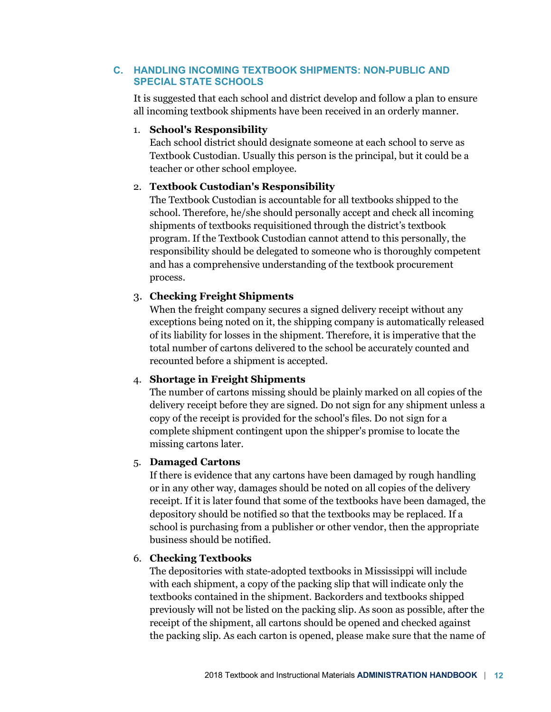### **C. HANDLING INCOMING TEXTBOOK SHIPMENTS: NON-PUBLIC AND SPECIAL STATE SCHOOLS**

It is suggested that each school and district develop and follow a plan to ensure all incoming textbook shipments have been received in an orderly manner.

# 1. **School's Responsibility**

Each school district should designate someone at each school to serve as Textbook Custodian. Usually this person is the principal, but it could be a teacher or other school employee.

# 2. **Textbook Custodian's Responsibility**

The Textbook Custodian is accountable for all textbooks shipped to the school. Therefore, he/she should personally accept and check all incoming shipments of textbooks requisitioned through the district's textbook program. If the Textbook Custodian cannot attend to this personally, the responsibility should be delegated to someone who is thoroughly competent and has a comprehensive understanding of the textbook procurement process.

# 3. **Checking Freight Shipments**

When the freight company secures a signed delivery receipt without any exceptions being noted on it, the shipping company is automatically released of its liability for losses in the shipment. Therefore, it is imperative that the total number of cartons delivered to the school be accurately counted and recounted before a shipment is accepted.

# 4. **Shortage in Freight Shipments**

The number of cartons missing should be plainly marked on all copies of the delivery receipt before they are signed. Do not sign for any shipment unless a copy of the receipt is provided for the school's files. Do not sign for a complete shipment contingent upon the shipper's promise to locate the missing cartons later.

# 5. **Damaged Cartons**

If there is evidence that any cartons have been damaged by rough handling or in any other way, damages should be noted on all copies of the delivery receipt. If it is later found that some of the textbooks have been damaged, the depository should be notified so that the textbooks may be replaced. If a school is purchasing from a publisher or other vendor, then the appropriate business should be notified.

# 6. **Checking Textbooks**

The depositories with state-adopted textbooks in Mississippi will include with each shipment, a copy of the packing slip that will indicate only the textbooks contained in the shipment. Backorders and textbooks shipped previously will not be listed on the packing slip. As soon as possible, after the receipt of the shipment, all cartons should be opened and checked against the packing slip. As each carton is opened, please make sure that the name of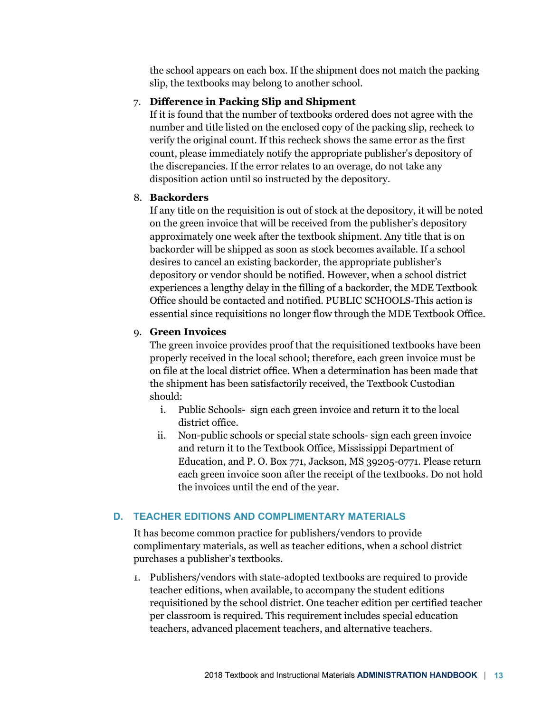the school appears on each box. If the shipment does not match the packing slip, the textbooks may belong to another school.

# 7. **Difference in Packing Slip and Shipment**

If it is found that the number of textbooks ordered does not agree with the number and title listed on the enclosed copy of the packing slip, recheck to verify the original count. If this recheck shows the same error as the first count, please immediately notify the appropriate publisher's depository of the discrepancies. If the error relates to an overage, do not take any disposition action until so instructed by the depository.

# 8. **Backorders**

If any title on the requisition is out of stock at the depository, it will be noted on the green invoice that will be received from the publisher's depository approximately one week after the textbook shipment. Any title that is on backorder will be shipped as soon as stock becomes available. If a school desires to cancel an existing backorder, the appropriate publisher's depository or vendor should be notified. However, when a school district experiences a lengthy delay in the filling of a backorder, the MDE Textbook Office should be contacted and notified. PUBLIC SCHOOLS-This action is essential since requisitions no longer flow through the MDE Textbook Office.

# 9. **Green Invoices**

The green invoice provides proof that the requisitioned textbooks have been properly received in the local school; therefore, each green invoice must be on file at the local district office. When a determination has been made that the shipment has been satisfactorily received, the Textbook Custodian should:

- i. Public Schools- sign each green invoice and return it to the local district office.
- ii. Non-public schools or special state schools- sign each green invoice and return it to the Textbook Office, Mississippi Department of Education, and P. O. Box 771, Jackson, MS 39205-0771. Please return each green invoice soon after the receipt of the textbooks. Do not hold the invoices until the end of the year.

# **D. TEACHER EDITIONS AND COMPLIMENTARY MATERIALS**

It has become common practice for publishers/vendors to provide complimentary materials, as well as teacher editions, when a school district purchases a publisher's textbooks.

1. Publishers/vendors with state-adopted textbooks are required to provide teacher editions, when available, to accompany the student editions requisitioned by the school district. One teacher edition per certified teacher per classroom is required. This requirement includes special education teachers, advanced placement teachers, and alternative teachers.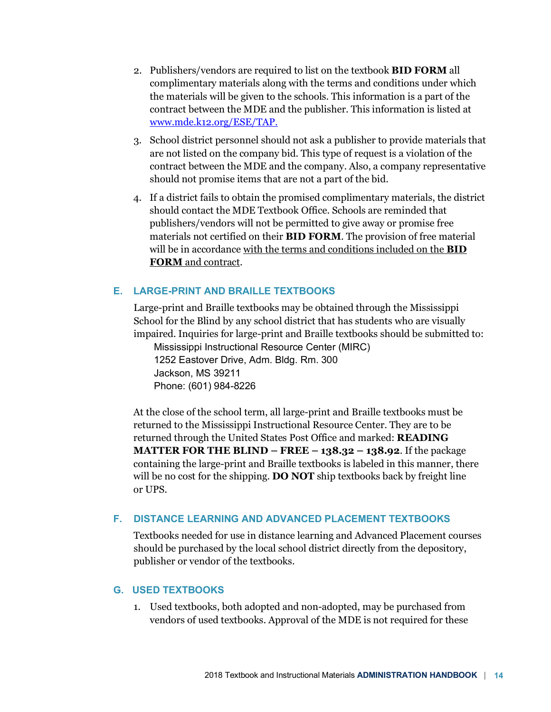- 2. Publishers/vendors are required to list on the textbook **BID FORM** all complimentary materials along with the terms and conditions under which the materials will be given to the schools. This information is a part of the contract between the MDE and the publisher. This information is listed at www.mde.k12.org/ESE/TAP.
- 3. School district personnel should not ask a publisher to provide materials that are not listed on the company bid. This type of request is a violation of the contract between the MDE and the company. Also, a company representative should not promise items that are not a part of the bid.
- 4. If a district fails to obtain the promised complimentary materials, the district should contact the MDE Textbook Office. Schools are reminded that publishers/vendors will not be permitted to give away or promise free materials not certified on their **BID FORM**. The provision of free material will be in accordance with the terms and conditions included on the **BID FORM** and contract.

# **E. LARGE-PRINT AND BRAILLE TEXTBOOKS**

Large-print and Braille textbooks may be obtained through the Mississippi School for the Blind by any school district that has students who are visually impaired. Inquiries for large-print and Braille textbooks should be submitted to:

Mississippi Instructional Resource Center (MIRC) 1252 Eastover Drive, Adm. Bldg. Rm. 300 Jackson, MS 39211 Phone: (601) 984-8226

At the close of the school term, all large-print and Braille textbooks must be returned to the Mississippi Instructional Resource Center. They are to be returned through the United States Post Office and marked: **READING MATTER FOR THE BLIND – FREE – 138.32 – 138.92**. If the package containing the large-print and Braille textbooks is labeled in this manner, there will be no cost for the shipping. **DO NOT** ship textbooks back by freight line or UPS.

#### **F. DISTANCE LEARNING AND ADVANCED PLACEMENT TEXTBOOKS**

Textbooks needed for use in distance learning and Advanced Placement courses should be purchased by the local school district directly from the depository, publisher or vendor of the textbooks.

#### **G. USED TEXTBOOKS**

1. Used textbooks, both adopted and non-adopted, may be purchased from vendors of used textbooks. Approval of the MDE is not required for these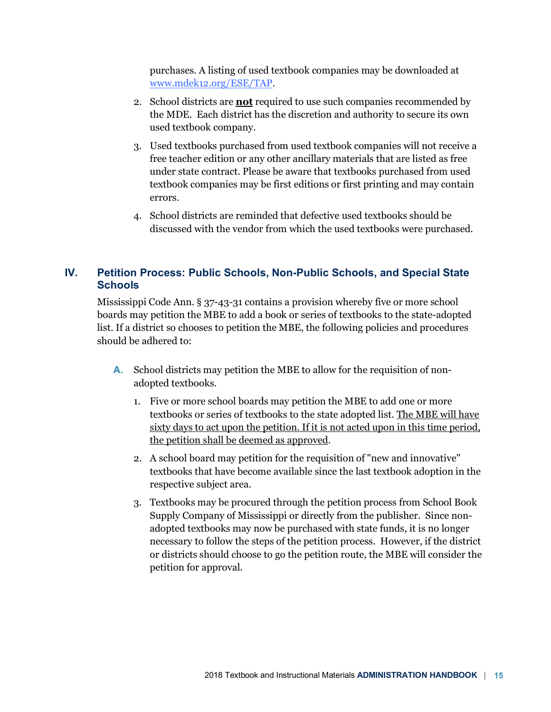purchases. A listing of used textbook companies may be downloaded at www.mdek12.org/ESE/TAP.

- 2. School districts are **not** required to use such companies recommended by the MDE. Each district has the discretion and authority to secure its own used textbook company.
- 3. Used textbooks purchased from used textbook companies will not receive a free teacher edition or any other ancillary materials that are listed as free under state contract. Please be aware that textbooks purchased from used textbook companies may be first editions or first printing and may contain errors.
- 4. School districts are reminded that defective used textbooks should be discussed with the vendor from which the used textbooks were purchased.

# **IV. Petition Process: Public Schools, Non-Public Schools, and Special State Schools**

Mississippi Code Ann. § 37-43-31 contains a provision whereby five or more school boards may petition the MBE to add a book or series of textbooks to the state-adopted list. If a district so chooses to petition the MBE, the following policies and procedures should be adhered to:

- **A.** School districts may petition the MBE to allow for the requisition of nonadopted textbooks.
	- 1. Five or more school boards may petition the MBE to add one or more textbooks or series of textbooks to the state adopted list. The MBE will have sixty days to act upon the petition. If it is not acted upon in this time period, the petition shall be deemed as approved.
	- 2. A school board may petition for the requisition of "new and innovative" textbooks that have become available since the last textbook adoption in the respective subject area.
	- 3. Textbooks may be procured through the petition process from School Book Supply Company of Mississippi or directly from the publisher. Since nonadopted textbooks may now be purchased with state funds, it is no longer necessary to follow the steps of the petition process. However, if the district or districts should choose to go the petition route, the MBE will consider the petition for approval.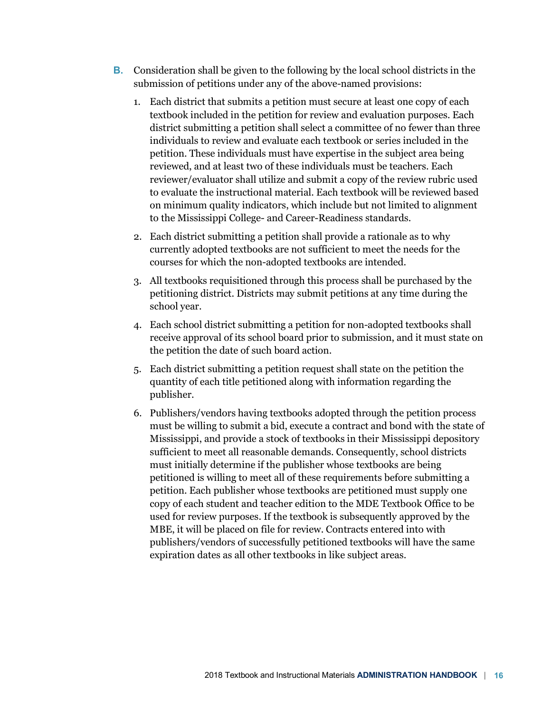- **B.** Consideration shall be given to the following by the local school districts in the submission of petitions under any of the above-named provisions:
	- 1. Each district that submits a petition must secure at least one copy of each textbook included in the petition for review and evaluation purposes. Each district submitting a petition shall select a committee of no fewer than three individuals to review and evaluate each textbook or series included in the petition. These individuals must have expertise in the subject area being reviewed, and at least two of these individuals must be teachers. Each reviewer/evaluator shall utilize and submit a copy of the review rubric used to evaluate the instructional material. Each textbook will be reviewed based on minimum quality indicators, which include but not limited to alignment to the Mississippi College- and Career-Readiness standards.
	- 2. Each district submitting a petition shall provide a rationale as to why currently adopted textbooks are not sufficient to meet the needs for the courses for which the non-adopted textbooks are intended.
	- 3. All textbooks requisitioned through this process shall be purchased by the petitioning district. Districts may submit petitions at any time during the school year.
	- 4. Each school district submitting a petition for non-adopted textbooks shall receive approval of its school board prior to submission, and it must state on the petition the date of such board action.
	- 5. Each district submitting a petition request shall state on the petition the quantity of each title petitioned along with information regarding the publisher.
	- 6. Publishers/vendors having textbooks adopted through the petition process must be willing to submit a bid, execute a contract and bond with the state of Mississippi, and provide a stock of textbooks in their Mississippi depository sufficient to meet all reasonable demands. Consequently, school districts must initially determine if the publisher whose textbooks are being petitioned is willing to meet all of these requirements before submitting a petition. Each publisher whose textbooks are petitioned must supply one copy of each student and teacher edition to the MDE Textbook Office to be used for review purposes. If the textbook is subsequently approved by the MBE, it will be placed on file for review. Contracts entered into with publishers/vendors of successfully petitioned textbooks will have the same expiration dates as all other textbooks in like subject areas.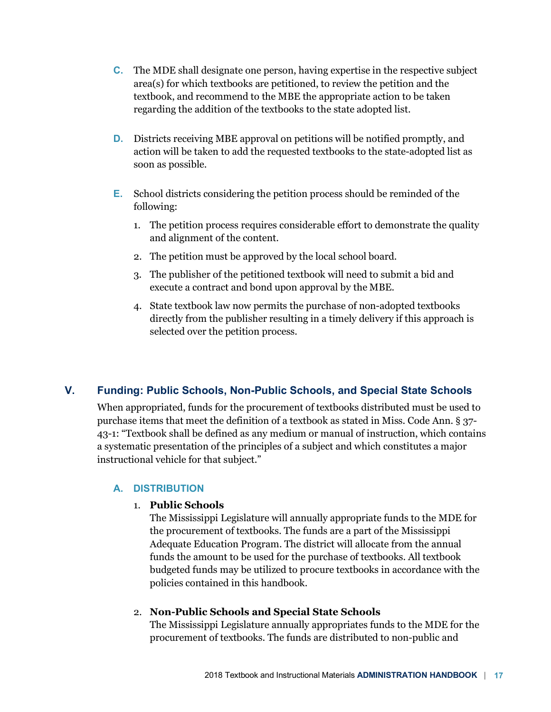- **C.** The MDE shall designate one person, having expertise in the respective subject area(s) for which textbooks are petitioned, to review the petition and the textbook, and recommend to the MBE the appropriate action to be taken regarding the addition of the textbooks to the state adopted list.
- **D.** Districts receiving MBE approval on petitions will be notified promptly, and action will be taken to add the requested textbooks to the state-adopted list as soon as possible.
- **E.** School districts considering the petition process should be reminded of the following:
	- 1. The petition process requires considerable effort to demonstrate the quality and alignment of the content.
	- 2. The petition must be approved by the local school board.
	- 3. The publisher of the petitioned textbook will need to submit a bid and execute a contract and bond upon approval by the MBE.
	- 4. State textbook law now permits the purchase of non-adopted textbooks directly from the publisher resulting in a timely delivery if this approach is selected over the petition process.

# **V. Funding: Public Schools, Non-Public Schools, and Special State Schools**

When appropriated, funds for the procurement of textbooks distributed must be used to purchase items that meet the definition of a textbook as stated in Miss. Code Ann. § 37- 43-1: "Textbook shall be defined as any medium or manual of instruction, which contains a systematic presentation of the principles of a subject and which constitutes a major instructional vehicle for that subject."

# **A. DISTRIBUTION**

# 1. **Public Schools**

The Mississippi Legislature will annually appropriate funds to the MDE for the procurement of textbooks. The funds are a part of the Mississippi Adequate Education Program. The district will allocate from the annual funds the amount to be used for the purchase of textbooks. All textbook budgeted funds may be utilized to procure textbooks in accordance with the policies contained in this handbook.

# 2. **Non-Public Schools and Special State Schools**

The Mississippi Legislature annually appropriates funds to the MDE for the procurement of textbooks. The funds are distributed to non-public and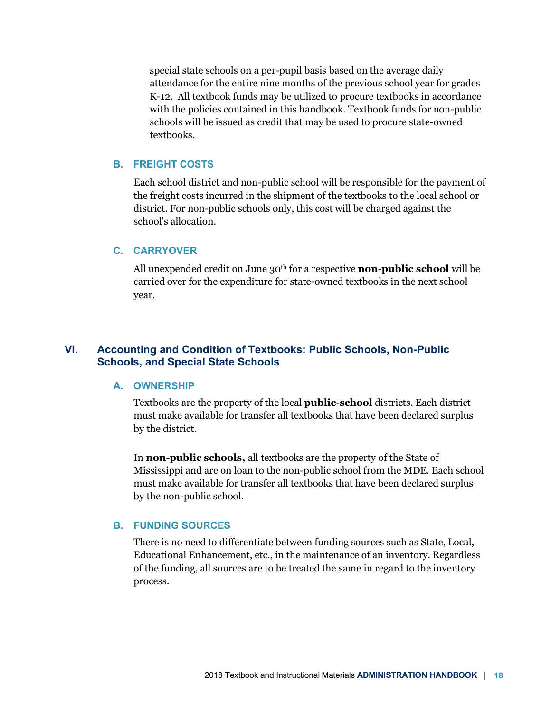special state schools on a per-pupil basis based on the average daily attendance for the entire nine months of the previous school year for grades K-12. All textbook funds may be utilized to procure textbooks in accordance with the policies contained in this handbook. Textbook funds for non-public schools will be issued as credit that may be used to procure state-owned textbooks.

#### **B. FREIGHT COSTS**

Each school district and non-public school will be responsible for the payment of the freight costs incurred in the shipment of the textbooks to the local school or district. For non-public schools only, this cost will be charged against the school's allocation.

#### **C. CARRYOVER**

All unexpended credit on June 30th for a respective **non-public school** will be carried over for the expenditure for state-owned textbooks in the next school year.

# **VI. Accounting and Condition of Textbooks: Public Schools, Non-Public Schools, and Special State Schools**

#### **A. OWNERSHIP**

Textbooks are the property of the local **public-school** districts. Each district must make available for transfer all textbooks that have been declared surplus by the district.

In **non-public schools,** all textbooks are the property of the State of Mississippi and are on loan to the non-public school from the MDE. Each school must make available for transfer all textbooks that have been declared surplus by the non-public school.

#### **B. FUNDING SOURCES**

There is no need to differentiate between funding sources such as State, Local, Educational Enhancement, etc., in the maintenance of an inventory. Regardless of the funding, all sources are to be treated the same in regard to the inventory process.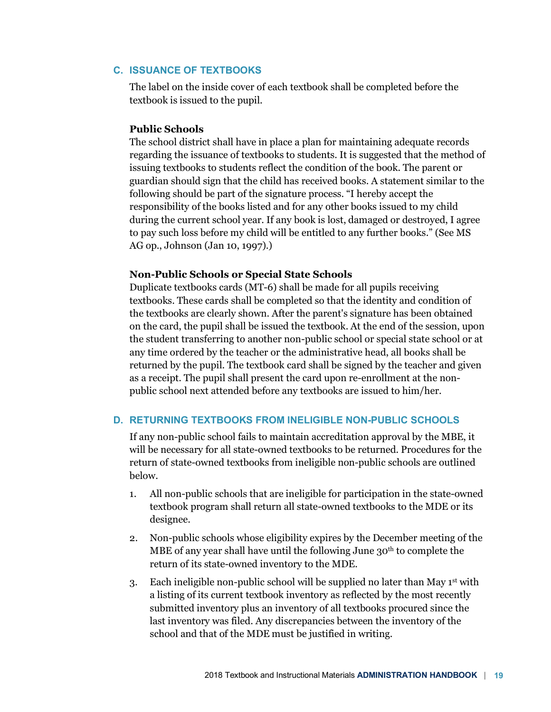# **C. ISSUANCE OF TEXTBOOKS**

The label on the inside cover of each textbook shall be completed before the textbook is issued to the pupil.

#### **Public Schools**

The school district shall have in place a plan for maintaining adequate records regarding the issuance of textbooks to students. It is suggested that the method of issuing textbooks to students reflect the condition of the book. The parent or guardian should sign that the child has received books. A statement similar to the following should be part of the signature process. "I hereby accept the responsibility of the books listed and for any other books issued to my child during the current school year. If any book is lost, damaged or destroyed, I agree to pay such loss before my child will be entitled to any further books." (See MS AG op., Johnson (Jan 10, 1997).)

#### **Non-Public Schools or Special State Schools**

Duplicate textbooks cards (MT-6) shall be made for all pupils receiving textbooks. These cards shall be completed so that the identity and condition of the textbooks are clearly shown. After the parent's signature has been obtained on the card, the pupil shall be issued the textbook. At the end of the session, upon the student transferring to another non-public school or special state school or at any time ordered by the teacher or the administrative head, all books shall be returned by the pupil. The textbook card shall be signed by the teacher and given as a receipt. The pupil shall present the card upon re-enrollment at the nonpublic school next attended before any textbooks are issued to him/her.

## **D. RETURNING TEXTBOOKS FROM INELIGIBLE NON-PUBLIC SCHOOLS**

If any non-public school fails to maintain accreditation approval by the MBE, it will be necessary for all state-owned textbooks to be returned. Procedures for the return of state-owned textbooks from ineligible non-public schools are outlined below.

- 1. All non-public schools that are ineligible for participation in the state-owned textbook program shall return all state-owned textbooks to the MDE or its designee.
- 2. Non-public schools whose eligibility expires by the December meeting of the MBE of any year shall have until the following June 30<sup>th</sup> to complete the return of its state-owned inventory to the MDE.
- 3. Each ineligible non-public school will be supplied no later than May  $1<sup>st</sup>$  with a listing of its current textbook inventory as reflected by the most recently submitted inventory plus an inventory of all textbooks procured since the last inventory was filed. Any discrepancies between the inventory of the school and that of the MDE must be justified in writing.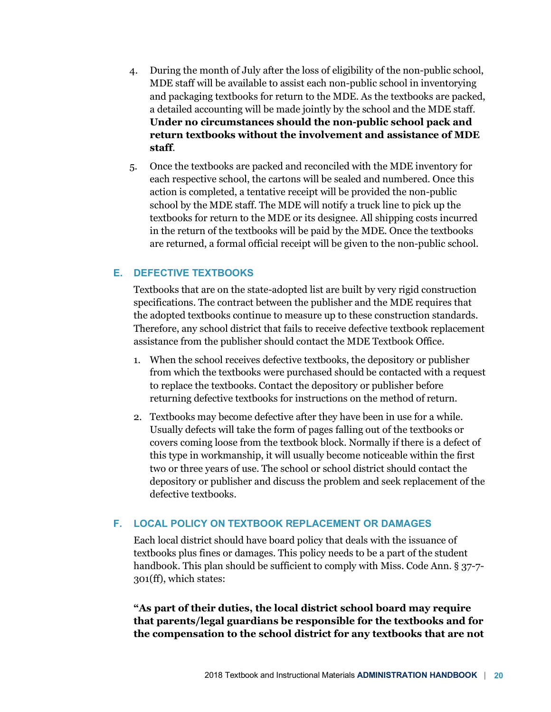- 4. During the month of July after the loss of eligibility of the non-public school, MDE staff will be available to assist each non-public school in inventorying and packaging textbooks for return to the MDE. As the textbooks are packed, a detailed accounting will be made jointly by the school and the MDE staff. **Under no circumstances should the non-public school pack and return textbooks without the involvement and assistance of MDE staff**.
- 5. Once the textbooks are packed and reconciled with the MDE inventory for each respective school, the cartons will be sealed and numbered. Once this action is completed, a tentative receipt will be provided the non-public school by the MDE staff. The MDE will notify a truck line to pick up the textbooks for return to the MDE or its designee. All shipping costs incurred in the return of the textbooks will be paid by the MDE. Once the textbooks are returned, a formal official receipt will be given to the non-public school.

# **E. DEFECTIVE TEXTBOOKS**

Textbooks that are on the state-adopted list are built by very rigid construction specifications. The contract between the publisher and the MDE requires that the adopted textbooks continue to measure up to these construction standards. Therefore, any school district that fails to receive defective textbook replacement assistance from the publisher should contact the MDE Textbook Office.

- 1. When the school receives defective textbooks, the depository or publisher from which the textbooks were purchased should be contacted with a request to replace the textbooks. Contact the depository or publisher before returning defective textbooks for instructions on the method of return.
- 2. Textbooks may become defective after they have been in use for a while. Usually defects will take the form of pages falling out of the textbooks or covers coming loose from the textbook block. Normally if there is a defect of this type in workmanship, it will usually become noticeable within the first two or three years of use. The school or school district should contact the depository or publisher and discuss the problem and seek replacement of the defective textbooks.

## **F. LOCAL POLICY ON TEXTBOOK REPLACEMENT OR DAMAGES**

Each local district should have board policy that deals with the issuance of textbooks plus fines or damages. This policy needs to be a part of the student handbook. This plan should be sufficient to comply with Miss. Code Ann. § 37-7-301(ff), which states:

**"As part of their duties, the local district school board may require that parents/legal guardians be responsible for the textbooks and for the compensation to the school district for any textbooks that are not**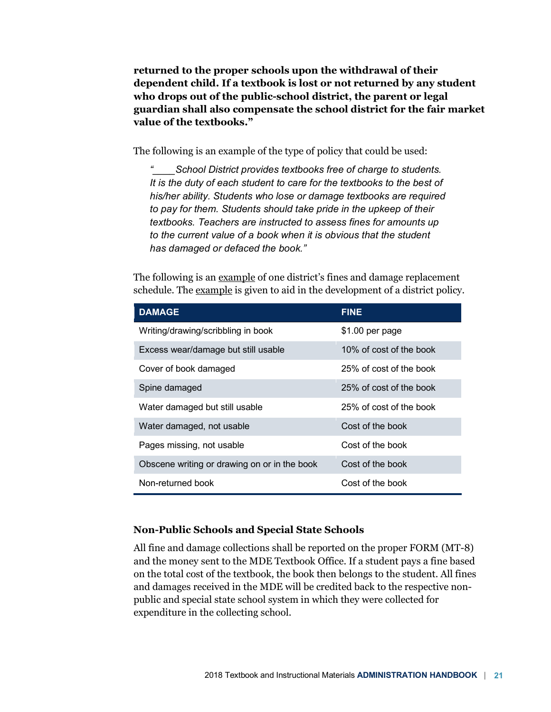**returned to the proper schools upon the withdrawal of their dependent child. If a textbook is lost or not returned by any student who drops out of the public-school district, the parent or legal guardian shall also compensate the school district for the fair market value of the textbooks."**

The following is an example of the type of policy that could be used:

*"\_\_\_\_School District provides textbooks free of charge to students. It is the duty of each student to care for the textbooks to the best of his/her ability. Students who lose or damage textbooks are required to pay for them. Students should take pride in the upkeep of their textbooks. Teachers are instructed to assess fines for amounts up to the current value of a book when it is obvious that the student has damaged or defaced the book."*

The following is an example of one district's fines and damage replacement schedule. The <u>example</u> is given to aid in the development of a district policy.

| <b>DAMAGE</b>                                | <b>FINE</b>             |
|----------------------------------------------|-------------------------|
| Writing/drawing/scribbling in book           | \$1.00 per page         |
| Excess wear/damage but still usable          | 10% of cost of the book |
| Cover of book damaged                        | 25% of cost of the book |
| Spine damaged                                | 25% of cost of the book |
| Water damaged but still usable               | 25% of cost of the book |
| Water damaged, not usable                    | Cost of the book        |
| Pages missing, not usable                    | Cost of the book        |
| Obscene writing or drawing on or in the book | Cost of the book        |
| Non-returned book                            | Cost of the book        |

#### **Non-Public Schools and Special State Schools**

All fine and damage collections shall be reported on the proper FORM (MT-8) and the money sent to the MDE Textbook Office. If a student pays a fine based on the total cost of the textbook, the book then belongs to the student. All fines and damages received in the MDE will be credited back to the respective nonpublic and special state school system in which they were collected for expenditure in the collecting school.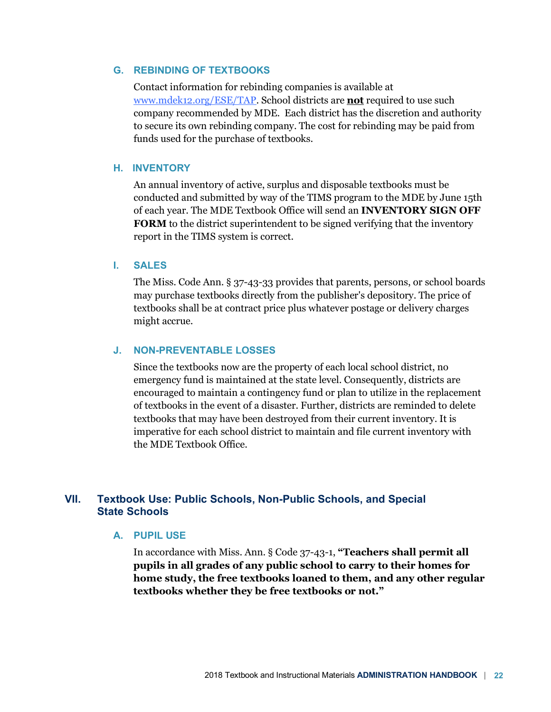#### **G. REBINDING OF TEXTBOOKS**

Contact information for rebinding companies is available at www.mdek12.org/ESE/TAP. School districts are **not** required to use such company recommended by MDE. Each district has the discretion and authority to secure its own rebinding company. The cost for rebinding may be paid from funds used for the purchase of textbooks.

#### **H. INVENTORY**

An annual inventory of active, surplus and disposable textbooks must be conducted and submitted by way of the TIMS program to the MDE by June 15th of each year. The MDE Textbook Office will send an **INVENTORY SIGN OFF FORM** to the district superintendent to be signed verifying that the inventory report in the TIMS system is correct.

#### **I. SALES**

The Miss. Code Ann. § 37-43-33 provides that parents, persons, or school boards may purchase textbooks directly from the publisher's depository. The price of textbooks shall be at contract price plus whatever postage or delivery charges might accrue.

#### **J. NON-PREVENTABLE LOSSES**

Since the textbooks now are the property of each local school district, no emergency fund is maintained at the state level. Consequently, districts are encouraged to maintain a contingency fund or plan to utilize in the replacement of textbooks in the event of a disaster. Further, districts are reminded to delete textbooks that may have been destroyed from their current inventory. It is imperative for each school district to maintain and file current inventory with the MDE Textbook Office.

## **VII. Textbook Use: Public Schools, Non-Public Schools, and Special State Schools**

#### **A. PUPIL USE**

In accordance with Miss. Ann. § Code 37-43-1, **"Teachers shall permit all pupils in all grades of any public school to carry to their homes for home study, the free textbooks loaned to them, and any other regular textbooks whether they be free textbooks or not."**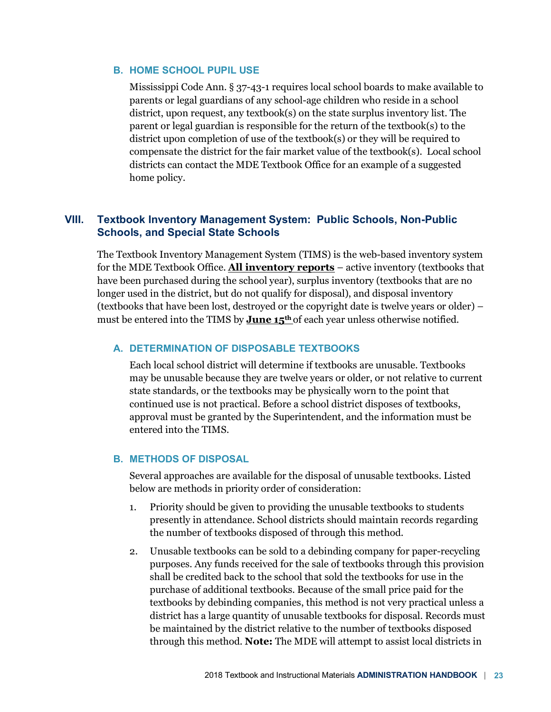### **B. HOME SCHOOL PUPIL USE**

Mississippi Code Ann. § 37-43-1 requires local school boards to make available to parents or legal guardians of any school-age children who reside in a school district, upon request, any textbook(s) on the state surplus inventory list. The parent or legal guardian is responsible for the return of the textbook(s) to the district upon completion of use of the textbook(s) or they will be required to compensate the district for the fair market value of the textbook(s). Local school districts can contact the MDE Textbook Office for an example of a suggested home policy.

# **VIII. Textbook Inventory Management System: Public Schools, Non-Public Schools, and Special State Schools**

The Textbook Inventory Management System (TIMS) is the web-based inventory system for the MDE Textbook Office. **All inventory reports** – active inventory (textbooks that have been purchased during the school year), surplus inventory (textbooks that are no longer used in the district, but do not qualify for disposal), and disposal inventory (textbooks that have been lost, destroyed or the copyright date is twelve years or older) – must be entered into the TIMS by **June 15th** of each year unless otherwise notified.

#### **A. DETERMINATION OF DISPOSABLE TEXTBOOKS**

Each local school district will determine if textbooks are unusable. Textbooks may be unusable because they are twelve years or older, or not relative to current state standards, or the textbooks may be physically worn to the point that continued use is not practical. Before a school district disposes of textbooks, approval must be granted by the Superintendent, and the information must be entered into the TIMS.

#### **B. METHODS OF DISPOSAL**

Several approaches are available for the disposal of unusable textbooks. Listed below are methods in priority order of consideration:

- 1. Priority should be given to providing the unusable textbooks to students presently in attendance. School districts should maintain records regarding the number of textbooks disposed of through this method.
- 2. Unusable textbooks can be sold to a debinding company for paper-recycling purposes. Any funds received for the sale of textbooks through this provision shall be credited back to the school that sold the textbooks for use in the purchase of additional textbooks. Because of the small price paid for the textbooks by debinding companies, this method is not very practical unless a district has a large quantity of unusable textbooks for disposal. Records must be maintained by the district relative to the number of textbooks disposed through this method. **Note:** The MDE will attempt to assist local districts in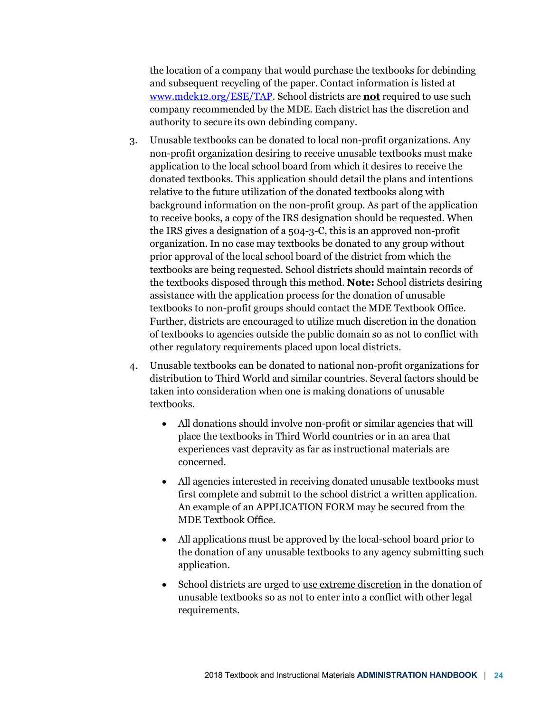the location of a company that would purchase the textbooks for debinding and subsequent recycling of the paper. Contact information is listed at www.mdek12.org/ESE/TAP. School districts are **not** required to use such company recommended by the MDE. Each district has the discretion and authority to secure its own debinding company.

- 3. Unusable textbooks can be donated to local non-profit organizations. Any non-profit organization desiring to receive unusable textbooks must make application to the local school board from which it desires to receive the donated textbooks. This application should detail the plans and intentions relative to the future utilization of the donated textbooks along with background information on the non-profit group. As part of the application to receive books, a copy of the IRS designation should be requested. When the IRS gives a designation of a 504-3-C, this is an approved non-profit organization. In no case may textbooks be donated to any group without prior approval of the local school board of the district from which the textbooks are being requested. School districts should maintain records of the textbooks disposed through this method. **Note:** School districts desiring assistance with the application process for the donation of unusable textbooks to non-profit groups should contact the MDE Textbook Office. Further, districts are encouraged to utilize much discretion in the donation of textbooks to agencies outside the public domain so as not to conflict with other regulatory requirements placed upon local districts.
- 4. Unusable textbooks can be donated to national non-profit organizations for distribution to Third World and similar countries. Several factors should be taken into consideration when one is making donations of unusable textbooks.
	- All donations should involve non-profit or similar agencies that will place the textbooks in Third World countries or in an area that experiences vast depravity as far as instructional materials are concerned.
	- All agencies interested in receiving donated unusable textbooks must first complete and submit to the school district a written application. An example of an APPLICATION FORM may be secured from the MDE Textbook Office.
	- All applications must be approved by the local-school board prior to the donation of any unusable textbooks to any agency submitting such application.
	- School districts are urged to use extreme discretion in the donation of unusable textbooks so as not to enter into a conflict with other legal requirements.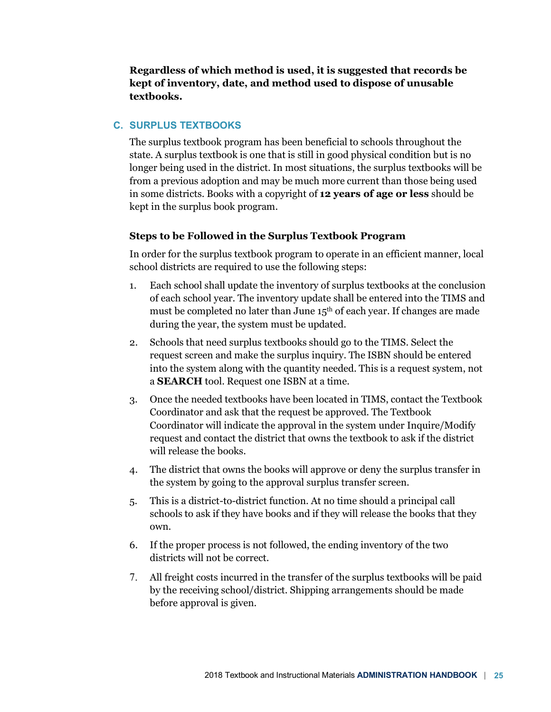**Regardless of which method is used, it is suggested that records be kept of inventory, date, and method used to dispose of unusable textbooks.**

# **C. SURPLUS TEXTBOOKS**

The surplus textbook program has been beneficial to schools throughout the state. A surplus textbook is one that is still in good physical condition but is no longer being used in the district. In most situations, the surplus textbooks will be from a previous adoption and may be much more current than those being used in some districts. Books with a copyright of **12 years of age or less** should be kept in the surplus book program.

## **Steps to be Followed in the Surplus Textbook Program**

In order for the surplus textbook program to operate in an efficient manner, local school districts are required to use the following steps:

- 1. Each school shall update the inventory of surplus textbooks at the conclusion of each school year. The inventory update shall be entered into the TIMS and must be completed no later than June 15<sup>th</sup> of each year. If changes are made during the year, the system must be updated.
- 2. Schools that need surplus textbooks should go to the TIMS. Select the request screen and make the surplus inquiry. The ISBN should be entered into the system along with the quantity needed. This is a request system, not a **SEARCH** tool. Request one ISBN at a time.
- 3. Once the needed textbooks have been located in TIMS, contact the Textbook Coordinator and ask that the request be approved. The Textbook Coordinator will indicate the approval in the system under Inquire/Modify request and contact the district that owns the textbook to ask if the district will release the books.
- 4. The district that owns the books will approve or deny the surplus transfer in the system by going to the approval surplus transfer screen.
- 5. This is a district-to-district function. At no time should a principal call schools to ask if they have books and if they will release the books that they own.
- 6. If the proper process is not followed, the ending inventory of the two districts will not be correct.
- 7. All freight costs incurred in the transfer of the surplus textbooks will be paid by the receiving school/district. Shipping arrangements should be made before approval is given.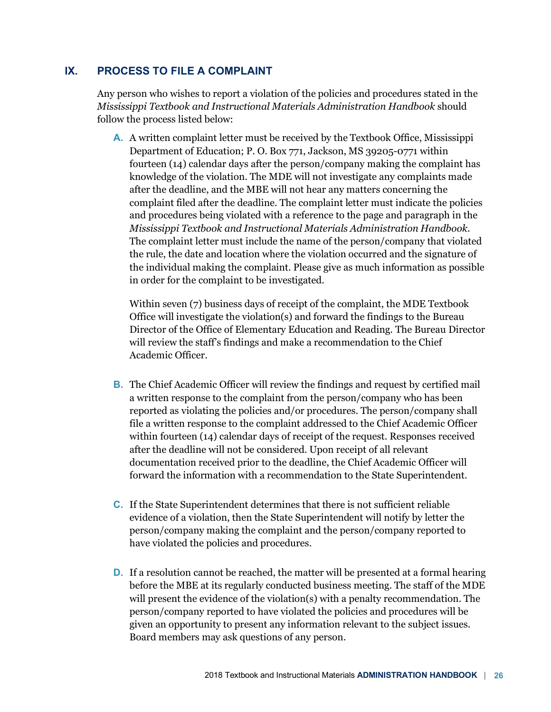# **IX. PROCESS TO FILE A COMPLAINT**

Any person who wishes to report a violation of the policies and procedures stated in the *Mississippi Textbook and Instructional Materials Administration Handbook* should follow the process listed below:

**A.** A written complaint letter must be received by the Textbook Office, Mississippi Department of Education; P. O. Box 771, Jackson, MS 39205-0771 within fourteen (14) calendar days after the person/company making the complaint has knowledge of the violation. The MDE will not investigate any complaints made after the deadline, and the MBE will not hear any matters concerning the complaint filed after the deadline. The complaint letter must indicate the policies and procedures being violated with a reference to the page and paragraph in the *Mississippi Textbook and Instructional Materials Administration Handbook*. The complaint letter must include the name of the person/company that violated the rule, the date and location where the violation occurred and the signature of the individual making the complaint. Please give as much information as possible in order for the complaint to be investigated.

Within seven (7) business days of receipt of the complaint, the MDE Textbook Office will investigate the violation(s) and forward the findings to the Bureau Director of the Office of Elementary Education and Reading. The Bureau Director will review the staff's findings and make a recommendation to the Chief Academic Officer.

- **B.** The Chief Academic Officer will review the findings and request by certified mail a written response to the complaint from the person/company who has been reported as violating the policies and/or procedures. The person/company shall file a written response to the complaint addressed to the Chief Academic Officer within fourteen (14) calendar days of receipt of the request. Responses received after the deadline will not be considered. Upon receipt of all relevant documentation received prior to the deadline, the Chief Academic Officer will forward the information with a recommendation to the State Superintendent.
- **C.** If the State Superintendent determines that there is not sufficient reliable evidence of a violation, then the State Superintendent will notify by letter the person/company making the complaint and the person/company reported to have violated the policies and procedures.
- **D.** If a resolution cannot be reached, the matter will be presented at a formal hearing before the MBE at its regularly conducted business meeting. The staff of the MDE will present the evidence of the violation(s) with a penalty recommendation. The person/company reported to have violated the policies and procedures will be given an opportunity to present any information relevant to the subject issues. Board members may ask questions of any person.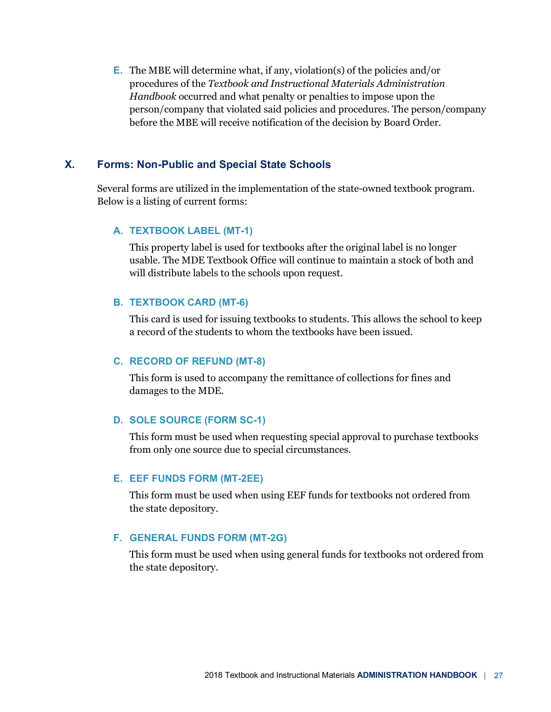**E.** The MBE will determine what, if any, violation(s) of the policies and/or procedures of the *Textbook and Instructional Materials Administration Handbook* occurred and what penalty or penalties to impose upon the person/company that violated said policies and procedures. The person/company before the MBE will receive notification of the decision by Board Order.

# **X. Forms: Non-Public and Special State Schools**

Several forms are utilized in the implementation of the state-owned textbook program. Below is a listing of current forms:

#### **A. TEXTBOOK LABEL (MT-1)**

This property label is used for textbooks after the original label is no longer usable. The MDE Textbook Office will continue to maintain a stock of both and will distribute labels to the schools upon request.

#### **B. TEXTBOOK CARD (MT-6)**

This card is used for issuing textbooks to students. This allows the school to keep a record of the students to whom the textbooks have been issued.

#### **C. RECORD OF REFUND (MT-8)**

This form is used to accompany the remittance of collections for fines and damages to the MDE.

#### **D. SOLE SOURCE (FORM SC-1)**

This form must be used when requesting special approval to purchase textbooks from only one source due to special circumstances.

#### **E. EEF FUNDS FORM (MT-2EE)**

This form must be used when using EEF funds for textbooks not ordered from the state depository.

#### **F. GENERAL FUNDS FORM (MT-2G)**

This form must be used when using general funds for textbooks not ordered from the state depository.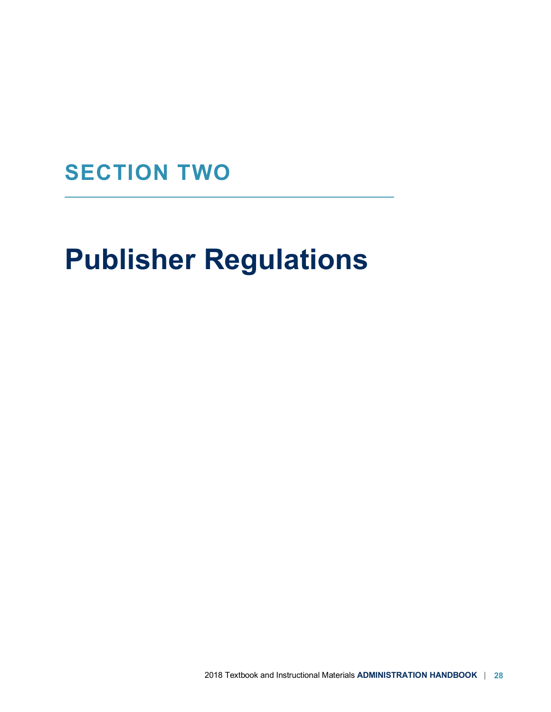# **SECTION TWO**

# **Publisher Regulations**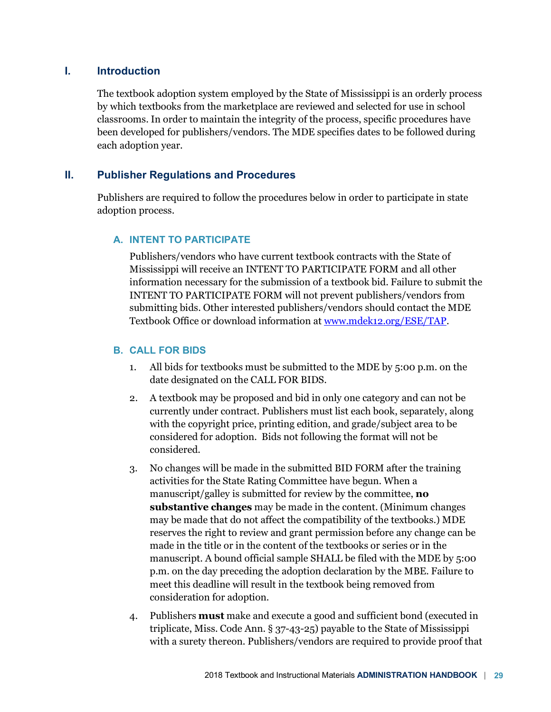# **I. Introduction**

The textbook adoption system employed by the State of Mississippi is an orderly process by which textbooks from the marketplace are reviewed and selected for use in school classrooms. In order to maintain the integrity of the process, specific procedures have been developed for publishers/vendors. The MDE specifies dates to be followed during each adoption year.

# **II. Publisher Regulations and Procedures**

Publishers are required to follow the procedures below in order to participate in state adoption process.

# **A. INTENT TO PARTICIPATE**

Publishers/vendors who have current textbook contracts with the State of Mississippi will receive an INTENT TO PARTICIPATE FORM and all other information necessary for the submission of a textbook bid. Failure to submit the INTENT TO PARTICIPATE FORM will not prevent publishers/vendors from submitting bids. Other interested publishers/vendors should contact the MDE Textbook Office or download information at www.mdek12.org/ESE/TAP.

# **B. CALL FOR BIDS**

- 1. All bids for textbooks must be submitted to the MDE by 5:00 p.m. on the date designated on the CALL FOR BIDS.
- 2. A textbook may be proposed and bid in only one category and can not be currently under contract. Publishers must list each book, separately, along with the copyright price, printing edition, and grade/subject area to be considered for adoption. Bids not following the format will not be considered.
- 3. No changes will be made in the submitted BID FORM after the training activities for the State Rating Committee have begun. When a manuscript/galley is submitted for review by the committee, **no substantive changes** may be made in the content. (Minimum changes may be made that do not affect the compatibility of the textbooks.) MDE reserves the right to review and grant permission before any change can be made in the title or in the content of the textbooks or series or in the manuscript. A bound official sample SHALL be filed with the MDE by 5:00 p.m. on the day preceding the adoption declaration by the MBE. Failure to meet this deadline will result in the textbook being removed from consideration for adoption.
- 4. Publishers **must** make and execute a good and sufficient bond (executed in triplicate, Miss. Code Ann. § 37-43-25) payable to the State of Mississippi with a surety thereon. Publishers/vendors are required to provide proof that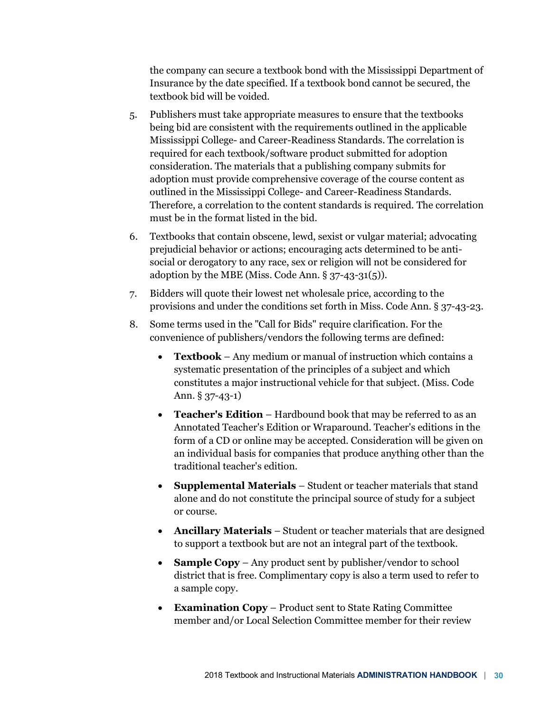the company can secure a textbook bond with the Mississippi Department of Insurance by the date specified. If a textbook bond cannot be secured, the textbook bid will be voided.

- 5. Publishers must take appropriate measures to ensure that the textbooks being bid are consistent with the requirements outlined in the applicable Mississippi College- and Career-Readiness Standards. The correlation is required for each textbook/software product submitted for adoption consideration. The materials that a publishing company submits for adoption must provide comprehensive coverage of the course content as outlined in the Mississippi College- and Career-Readiness Standards. Therefore, a correlation to the content standards is required. The correlation must be in the format listed in the bid.
- 6. Textbooks that contain obscene, lewd, sexist or vulgar material; advocating prejudicial behavior or actions; encouraging acts determined to be antisocial or derogatory to any race, sex or religion will not be considered for adoption by the MBE (Miss. Code Ann. § 37-43-31(5)).
- 7. Bidders will quote their lowest net wholesale price, according to the provisions and under the conditions set forth in Miss. Code Ann. § 37-43-23.
- 8. Some terms used in the "Call for Bids" require clarification. For the convenience of publishers/vendors the following terms are defined:
	- **Textbook** Any medium or manual of instruction which contains a systematic presentation of the principles of a subject and which constitutes a major instructional vehicle for that subject. (Miss. Code Ann. § 37-43-1)
	- **Teacher's Edition** Hardbound book that may be referred to as an Annotated Teacher's Edition or Wraparound. Teacher's editions in the form of a CD or online may be accepted. Consideration will be given on an individual basis for companies that produce anything other than the traditional teacher's edition.
	- **Supplemental Materials** Student or teacher materials that stand alone and do not constitute the principal source of study for a subject or course.
	- **Ancillary Materials** Student or teacher materials that are designed to support a textbook but are not an integral part of the textbook.
	- **Sample Copy** Any product sent by publisher/vendor to school district that is free. Complimentary copy is also a term used to refer to a sample copy.
	- **Examination Copy** Product sent to State Rating Committee member and/or Local Selection Committee member for their review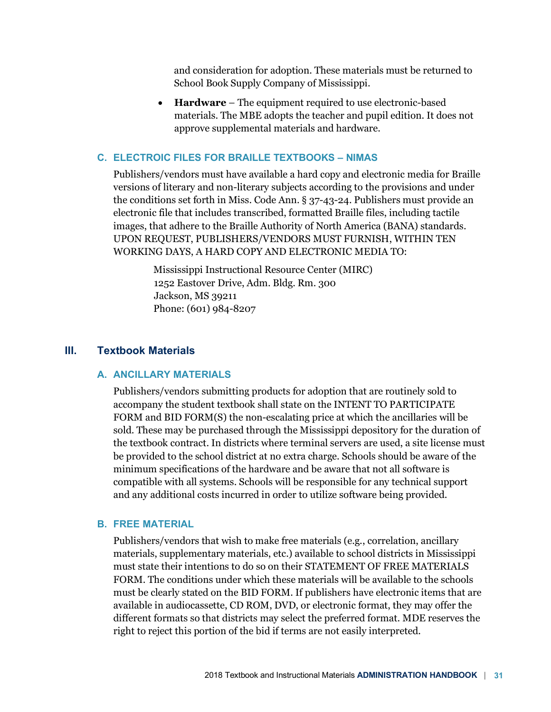and consideration for adoption. These materials must be returned to School Book Supply Company of Mississippi.

• **Hardware** – The equipment required to use electronic-based materials. The MBE adopts the teacher and pupil edition. It does not approve supplemental materials and hardware.

## **C. ELECTROIC FILES FOR BRAILLE TEXTBOOKS – NIMAS**

Publishers/vendors must have available a hard copy and electronic media for Braille versions of literary and non-literary subjects according to the provisions and under the conditions set forth in Miss. Code Ann. § 37-43-24. Publishers must provide an electronic file that includes transcribed, formatted Braille files, including tactile images, that adhere to the Braille Authority of North America (BANA) standards. UPON REQUEST, PUBLISHERS/VENDORS MUST FURNISH, WITHIN TEN WORKING DAYS, A HARD COPY AND ELECTRONIC MEDIA TO:

> Mississippi Instructional Resource Center (MIRC) 1252 Eastover Drive, Adm. Bldg. Rm. 300 Jackson, MS 39211 Phone: (601) 984-8207

#### **III. Textbook Materials**

#### **A. ANCILLARY MATERIALS**

Publishers/vendors submitting products for adoption that are routinely sold to accompany the student textbook shall state on the INTENT TO PARTICIPATE FORM and BID FORM(S) the non-escalating price at which the ancillaries will be sold. These may be purchased through the Mississippi depository for the duration of the textbook contract. In districts where terminal servers are used, a site license must be provided to the school district at no extra charge. Schools should be aware of the minimum specifications of the hardware and be aware that not all software is compatible with all systems. Schools will be responsible for any technical support and any additional costs incurred in order to utilize software being provided.

#### **B. FREE MATERIAL**

Publishers/vendors that wish to make free materials (e.g., correlation, ancillary materials, supplementary materials, etc.) available to school districts in Mississippi must state their intentions to do so on their STATEMENT OF FREE MATERIALS FORM. The conditions under which these materials will be available to the schools must be clearly stated on the BID FORM. If publishers have electronic items that are available in audiocassette, CD ROM, DVD, or electronic format, they may offer the different formats so that districts may select the preferred format. MDE reserves the right to reject this portion of the bid if terms are not easily interpreted.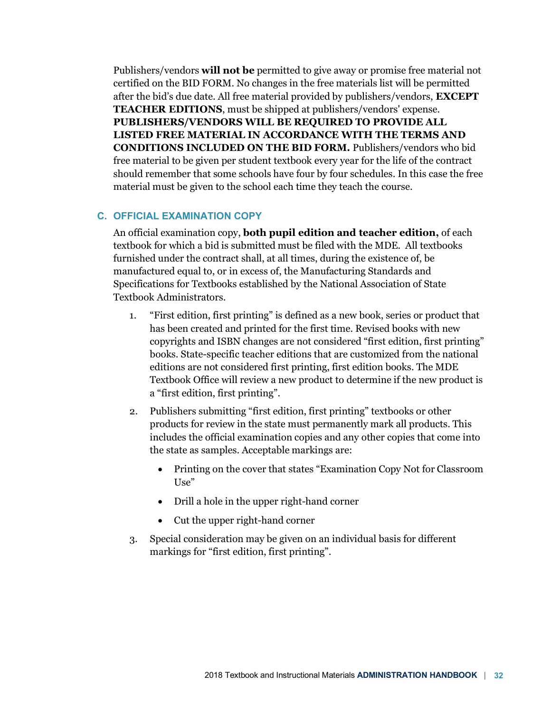Publishers/vendors **will not be** permitted to give away or promise free material not certified on the BID FORM. No changes in the free materials list will be permitted after the bid's due date. All free material provided by publishers/vendors, **EXCEPT TEACHER EDITIONS**, must be shipped at publishers/vendors' expense. **PUBLISHERS/VENDORS WILL BE REQUIRED TO PROVIDE ALL LISTED FREE MATERIAL IN ACCORDANCE WITH THE TERMS AND CONDITIONS INCLUDED ON THE BID FORM.** Publishers/vendors who bid free material to be given per student textbook every year for the life of the contract should remember that some schools have four by four schedules. In this case the free material must be given to the school each time they teach the course.

#### **C. OFFICIAL EXAMINATION COPY**

An official examination copy, **both pupil edition and teacher edition,** of each textbook for which a bid is submitted must be filed with the MDE. All textbooks furnished under the contract shall, at all times, during the existence of, be manufactured equal to, or in excess of, the Manufacturing Standards and Specifications for Textbooks established by the National Association of State Textbook Administrators.

- 1. "First edition, first printing" is defined as a new book, series or product that has been created and printed for the first time. Revised books with new copyrights and ISBN changes are not considered "first edition, first printing" books. State-specific teacher editions that are customized from the national editions are not considered first printing, first edition books. The MDE Textbook Office will review a new product to determine if the new product is a "first edition, first printing".
- 2. Publishers submitting "first edition, first printing" textbooks or other products for review in the state must permanently mark all products. This includes the official examination copies and any other copies that come into the state as samples. Acceptable markings are:
	- Printing on the cover that states "Examination Copy Not for Classroom  $Use''$
	- Drill a hole in the upper right-hand corner
	- Cut the upper right-hand corner
- 3. Special consideration may be given on an individual basis for different markings for "first edition, first printing".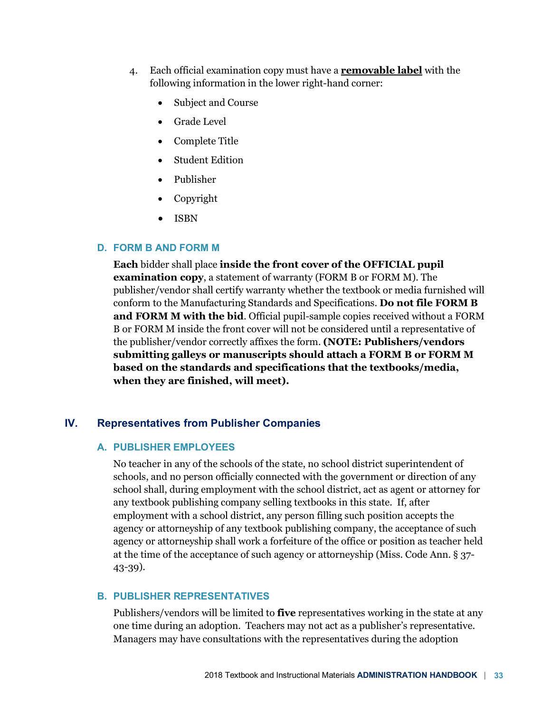- 4. Each official examination copy must have a **removable label** with the following information in the lower right-hand corner:
	- Subject and Course
	- Grade Level
	- Complete Title
	- Student Edition
	- Publisher
	- Copyright
	- ISBN

## **D. FORM B AND FORM M**

**Each** bidder shall place **inside the front cover of the OFFICIAL pupil examination copy**, a statement of warranty (FORM B or FORM M). The publisher/vendor shall certify warranty whether the textbook or media furnished will conform to the Manufacturing Standards and Specifications. **Do not file FORM B and FORM M with the bid**. Official pupil-sample copies received without a FORM B or FORM M inside the front cover will not be considered until a representative of the publisher/vendor correctly affixes the form. **(NOTE: Publishers/vendors submitting galleys or manuscripts should attach a FORM B or FORM M based on the standards and specifications that the textbooks/media, when they are finished, will meet).**

## **IV. Representatives from Publisher Companies**

## **A. PUBLISHER EMPLOYEES**

No teacher in any of the schools of the state, no school district superintendent of schools, and no person officially connected with the government or direction of any school shall, during employment with the school district, act as agent or attorney for any textbook publishing company selling textbooks in this state. If, after employment with a school district, any person filling such position accepts the agency or attorneyship of any textbook publishing company, the acceptance of such agency or attorneyship shall work a forfeiture of the office or position as teacher held at the time of the acceptance of such agency or attorneyship (Miss. Code Ann. § 37- 43-39).

#### **B. PUBLISHER REPRESENTATIVES**

Publishers/vendors will be limited to **five** representatives working in the state at any one time during an adoption. Teachers may not act as a publisher's representative. Managers may have consultations with the representatives during the adoption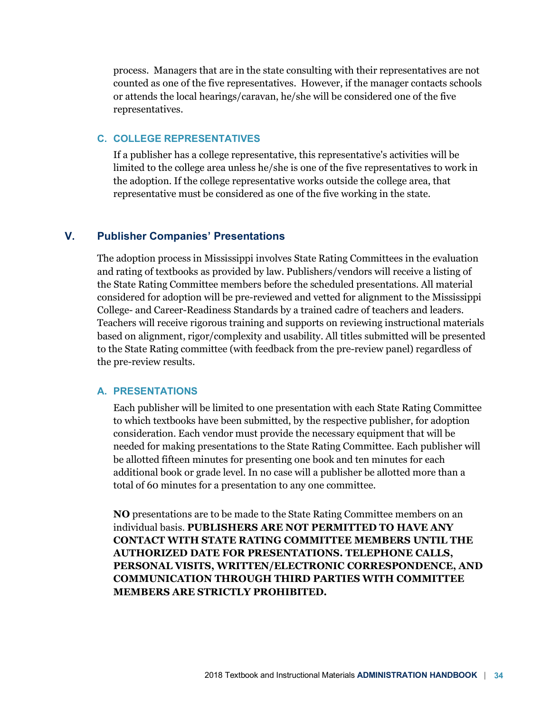process. Managers that are in the state consulting with their representatives are not counted as one of the five representatives. However, if the manager contacts schools or attends the local hearings/caravan, he/she will be considered one of the five representatives.

## **C. COLLEGE REPRESENTATIVES**

If a publisher has a college representative, this representative's activities will be limited to the college area unless he/she is one of the five representatives to work in the adoption. If the college representative works outside the college area, that representative must be considered as one of the five working in the state.

## **V. Publisher Companies' Presentations**

The adoption process in Mississippi involves State Rating Committees in the evaluation and rating of textbooks as provided by law. Publishers/vendors will receive a listing of the State Rating Committee members before the scheduled presentations. All material considered for adoption will be pre-reviewed and vetted for alignment to the Mississippi College- and Career-Readiness Standards by a trained cadre of teachers and leaders. Teachers will receive rigorous training and supports on reviewing instructional materials based on alignment, rigor/complexity and usability. All titles submitted will be presented to the State Rating committee (with feedback from the pre-review panel) regardless of the pre-review results.

#### **A. PRESENTATIONS**

Each publisher will be limited to one presentation with each State Rating Committee to which textbooks have been submitted, by the respective publisher, for adoption consideration. Each vendor must provide the necessary equipment that will be needed for making presentations to the State Rating Committee. Each publisher will be allotted fifteen minutes for presenting one book and ten minutes for each additional book or grade level. In no case will a publisher be allotted more than a total of 60 minutes for a presentation to any one committee.

**NO** presentations are to be made to the State Rating Committee members on an individual basis. **PUBLISHERS ARE NOT PERMITTED TO HAVE ANY CONTACT WITH STATE RATING COMMITTEE MEMBERS UNTIL THE AUTHORIZED DATE FOR PRESENTATIONS. TELEPHONE CALLS, PERSONAL VISITS, WRITTEN/ELECTRONIC CORRESPONDENCE, AND COMMUNICATION THROUGH THIRD PARTIES WITH COMMITTEE MEMBERS ARE STRICTLY PROHIBITED.**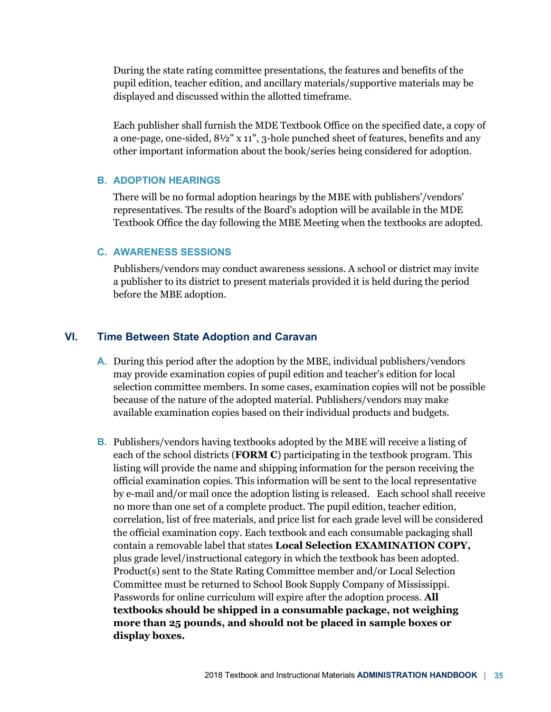During the state rating committee presentations, the features and benefits of the pupil edition, teacher edition, and ancillary materials/supportive materials may be displayed and discussed within the allotted timeframe.

Each publisher shall furnish the MDE Textbook Office on the specified date, a copy of a one-page, one-sided, 8½" x 11", 3-hole punched sheet of features, benefits and any other important information about the book/series being considered for adoption.

#### **B. ADOPTION HEARINGS**

There will be no formal adoption hearings by the MBE with publishers'/vendors' representatives. The results of the Board's adoption will be available in the MDE Textbook Office the day following the MBE Meeting when the textbooks are adopted.

#### **C. AWARENESS SESSIONS**

Publishers/vendors may conduct awareness sessions. A school or district may invite a publisher to its district to present materials provided it is held during the period before the MBE adoption.

# **VI. Time Between State Adoption and Caravan**

- **A.** During this period after the adoption by the MBE, individual publishers/vendors may provide examination copies of pupil edition and teacher's edition for local selection committee members. In some cases, examination copies will not be possible because of the nature of the adopted material. Publishers/vendors may make available examination copies based on their individual products and budgets.
- **B.** Publishers/vendors having textbooks adopted by the MBE will receive a listing of each of the school districts (**FORM C**) participating in the textbook program. This listing will provide the name and shipping information for the person receiving the official examination copies. This information will be sent to the local representative by e-mail and/or mail once the adoption listing is released. Each school shall receive no more than one set of a complete product. The pupil edition, teacher edition, correlation, list of free materials, and price list for each grade level will be considered the official examination copy. Each textbook and each consumable packaging shall contain a removable label that states **Local Selection EXAMINATION COPY,** plus grade level/instructional category in which the textbook has been adopted. Product(s) sent to the State Rating Committee member and/or Local Selection Committee must be returned to School Book Supply Company of Mississippi. Passwords for online curriculum will expire after the adoption process. **All textbooks should be shipped in a consumable package, not weighing more than 25 pounds, and should not be placed in sample boxes or display boxes.**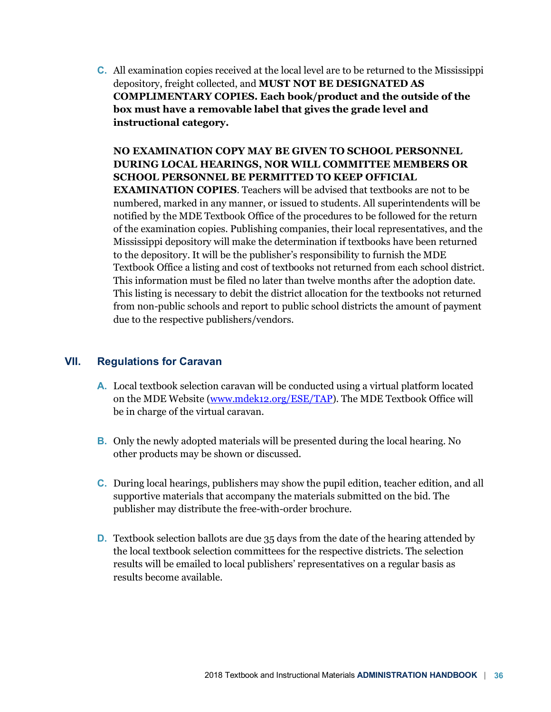**C.** All examination copies received at the local level are to be returned to the Mississippi depository, freight collected, and **MUST NOT BE DESIGNATED AS COMPLIMENTARY COPIES. Each book/product and the outside of the box must have a removable label that gives the grade level and instructional category.**

# **NO EXAMINATION COPY MAY BE GIVEN TO SCHOOL PERSONNEL DURING LOCAL HEARINGS, NOR WILL COMMITTEE MEMBERS OR SCHOOL PERSONNEL BE PERMITTED TO KEEP OFFICIAL**

**EXAMINATION COPIES**. Teachers will be advised that textbooks are not to be numbered, marked in any manner, or issued to students. All superintendents will be notified by the MDE Textbook Office of the procedures to be followed for the return of the examination copies. Publishing companies, their local representatives, and the Mississippi depository will make the determination if textbooks have been returned to the depository. It will be the publisher's responsibility to furnish the MDE Textbook Office a listing and cost of textbooks not returned from each school district. This information must be filed no later than twelve months after the adoption date. This listing is necessary to debit the district allocation for the textbooks not returned from non-public schools and report to public school districts the amount of payment due to the respective publishers/vendors.

# **VII. Regulations for Caravan**

- **A.** Local textbook selection caravan will be conducted using a virtual platform located on the MDE Website (www.mdek12.org/ESE/TAP). The MDE Textbook Office will be in charge of the virtual caravan.
- **B.** Only the newly adopted materials will be presented during the local hearing. No other products may be shown or discussed.
- **C.** During local hearings, publishers may show the pupil edition, teacher edition, and all supportive materials that accompany the materials submitted on the bid. The publisher may distribute the free-with-order brochure.
- **D.** Textbook selection ballots are due 35 days from the date of the hearing attended by the local textbook selection committees for the respective districts. The selection results will be emailed to local publishers' representatives on a regular basis as results become available.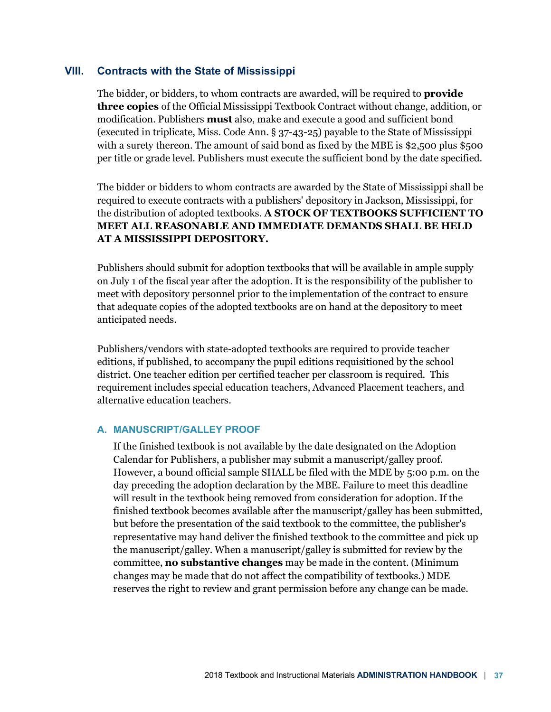### **VIII. Contracts with the State of Mississippi**

The bidder, or bidders, to whom contracts are awarded, will be required to **provide three copies** of the Official Mississippi Textbook Contract without change, addition, or modification. Publishers **must** also, make and execute a good and sufficient bond (executed in triplicate, Miss. Code Ann. § 37-43-25) payable to the State of Mississippi with a surety thereon. The amount of said bond as fixed by the MBE is \$2,500 plus \$500 per title or grade level. Publishers must execute the sufficient bond by the date specified.

The bidder or bidders to whom contracts are awarded by the State of Mississippi shall be required to execute contracts with a publishers' depository in Jackson, Mississippi, for the distribution of adopted textbooks. **A STOCK OF TEXTBOOKS SUFFICIENT TO MEET ALL REASONABLE AND IMMEDIATE DEMANDS SHALL BE HELD AT A MISSISSIPPI DEPOSITORY.**

Publishers should submit for adoption textbooks that will be available in ample supply on July 1 of the fiscal year after the adoption. It is the responsibility of the publisher to meet with depository personnel prior to the implementation of the contract to ensure that adequate copies of the adopted textbooks are on hand at the depository to meet anticipated needs.

Publishers/vendors with state-adopted textbooks are required to provide teacher editions, if published, to accompany the pupil editions requisitioned by the school district. One teacher edition per certified teacher per classroom is required. This requirement includes special education teachers, Advanced Placement teachers, and alternative education teachers.

#### **A. MANUSCRIPT/GALLEY PROOF**

If the finished textbook is not available by the date designated on the Adoption Calendar for Publishers, a publisher may submit a manuscript/galley proof. However, a bound official sample SHALL be filed with the MDE by 5:00 p.m. on the day preceding the adoption declaration by the MBE. Failure to meet this deadline will result in the textbook being removed from consideration for adoption. If the finished textbook becomes available after the manuscript/galley has been submitted, but before the presentation of the said textbook to the committee, the publisher's representative may hand deliver the finished textbook to the committee and pick up the manuscript/galley. When a manuscript/galley is submitted for review by the committee, **no substantive changes** may be made in the content. (Minimum changes may be made that do not affect the compatibility of textbooks.) MDE reserves the right to review and grant permission before any change can be made.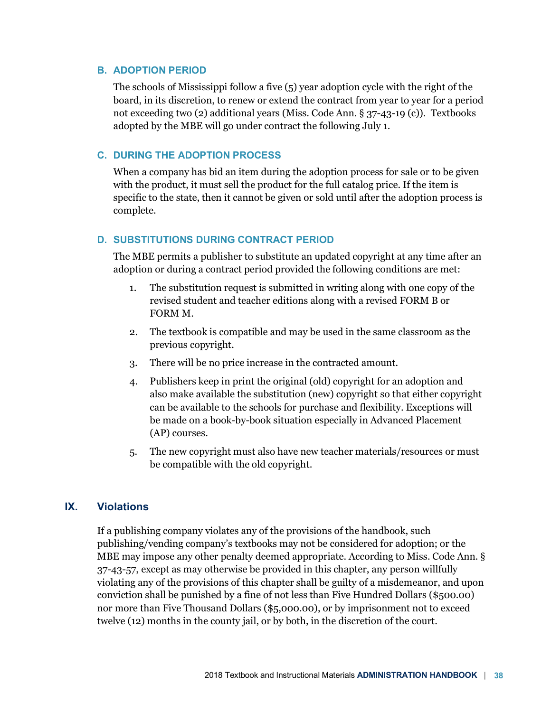#### **B. ADOPTION PERIOD**

The schools of Mississippi follow a five (5) year adoption cycle with the right of the board, in its discretion, to renew or extend the contract from year to year for a period not exceeding two (2) additional years (Miss. Code Ann. § 37-43-19 (c)). Textbooks adopted by the MBE will go under contract the following July 1.

#### **C. DURING THE ADOPTION PROCESS**

When a company has bid an item during the adoption process for sale or to be given with the product, it must sell the product for the full catalog price. If the item is specific to the state, then it cannot be given or sold until after the adoption process is complete.

#### **D. SUBSTITUTIONS DURING CONTRACT PERIOD**

The MBE permits a publisher to substitute an updated copyright at any time after an adoption or during a contract period provided the following conditions are met:

- 1. The substitution request is submitted in writing along with one copy of the revised student and teacher editions along with a revised FORM B or FORM M.
- 2. The textbook is compatible and may be used in the same classroom as the previous copyright.
- 3. There will be no price increase in the contracted amount.
- 4. Publishers keep in print the original (old) copyright for an adoption and also make available the substitution (new) copyright so that either copyright can be available to the schools for purchase and flexibility. Exceptions will be made on a book-by-book situation especially in Advanced Placement (AP) courses.
- 5. The new copyright must also have new teacher materials/resources or must be compatible with the old copyright.

## **IX. Violations**

If a publishing company violates any of the provisions of the handbook, such publishing/vending company's textbooks may not be considered for adoption; or the MBE may impose any other penalty deemed appropriate. According to Miss. Code Ann. § 37-43-57, except as may otherwise be provided in this chapter, any person willfully violating any of the provisions of this chapter shall be guilty of a misdemeanor, and upon conviction shall be punished by a fine of not less than Five Hundred Dollars (\$500.00) nor more than Five Thousand Dollars (\$5,000.00), or by imprisonment not to exceed twelve (12) months in the county jail, or by both, in the discretion of the court.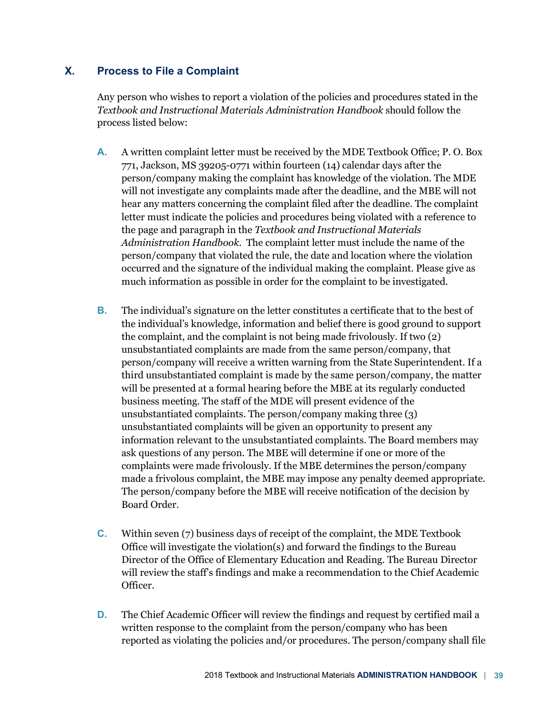# **X. Process to File a Complaint**

Any person who wishes to report a violation of the policies and procedures stated in the *Textbook and Instructional Materials Administration Handbook* should follow the process listed below:

- **A.** A written complaint letter must be received by the MDE Textbook Office; P. O. Box 771, Jackson, MS 39205-0771 within fourteen (14) calendar days after the person/company making the complaint has knowledge of the violation. The MDE will not investigate any complaints made after the deadline, and the MBE will not hear any matters concerning the complaint filed after the deadline. The complaint letter must indicate the policies and procedures being violated with a reference to the page and paragraph in the *Textbook and Instructional Materials Administration Handbook*. The complaint letter must include the name of the person/company that violated the rule, the date and location where the violation occurred and the signature of the individual making the complaint. Please give as much information as possible in order for the complaint to be investigated.
- **B.** The individual's signature on the letter constitutes a certificate that to the best of the individual's knowledge, information and belief there is good ground to support the complaint, and the complaint is not being made frivolously. If two (2) unsubstantiated complaints are made from the same person/company, that person/company will receive a written warning from the State Superintendent. If a third unsubstantiated complaint is made by the same person/company, the matter will be presented at a formal hearing before the MBE at its regularly conducted business meeting. The staff of the MDE will present evidence of the unsubstantiated complaints. The person/company making three (3) unsubstantiated complaints will be given an opportunity to present any information relevant to the unsubstantiated complaints. The Board members may ask questions of any person. The MBE will determine if one or more of the complaints were made frivolously. If the MBE determines the person/company made a frivolous complaint, the MBE may impose any penalty deemed appropriate. The person/company before the MBE will receive notification of the decision by Board Order.
- **C.** Within seven (7) business days of receipt of the complaint, the MDE Textbook Office will investigate the violation(s) and forward the findings to the Bureau Director of the Office of Elementary Education and Reading. The Bureau Director will review the staff's findings and make a recommendation to the Chief Academic Officer.
- **D.** The Chief Academic Officer will review the findings and request by certified mail a written response to the complaint from the person/company who has been reported as violating the policies and/or procedures. The person/company shall file